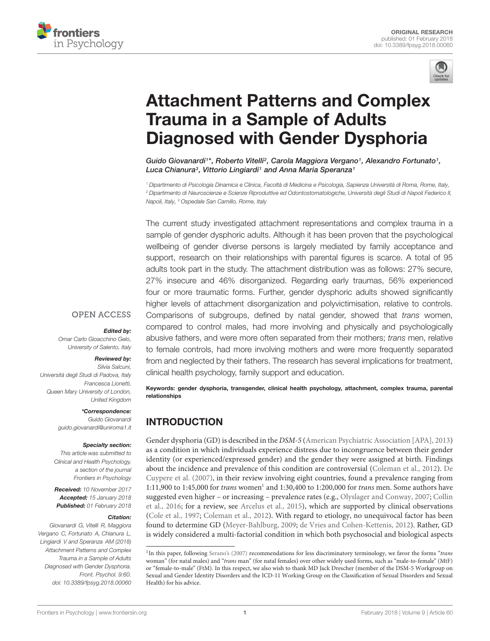



# [Attachment Patterns and Complex](https://www.frontiersin.org/articles/10.3389/fpsyg.2018.00060/full) Trauma in a Sample of Adults Diagnosed with Gender Dysphoria

[Guido Giovanardi](http://loop.frontiersin.org/people/495671/overview)<sup>1\*</sup>, [Roberto Vitelli](http://loop.frontiersin.org/people/473702/overview)<sup>2</sup>, [Carola Maggiora Vergano](http://loop.frontiersin.org/people/209426/overview)<sup>1</sup>, [Alexandro Fortunato](http://loop.frontiersin.org/people/508530/overview)<sup>1</sup>, Luca Chianura<sup>3</sup>, [Vittorio Lingiardi](http://loop.frontiersin.org/people/417769/overview)<sup>1</sup> and [Anna Maria Speranza](http://loop.frontiersin.org/people/76318/overview)<sup>1</sup>

<sup>1</sup> Dipartimento di Psicologia Dinamica e Clinica, Facoltà di Medicina e Psicologia, Sapienza Università di Roma, Rome, Italy, <sup>2</sup> Dipartimento di Neuroscienze e Scienze Riproduttive ed Odontostomatologiche, Università degli Studi di Napoli Federico II, Napoli, Italy, <sup>3</sup> Ospedale San Camillo, Rome, Italy

The current study investigated attachment representations and complex trauma in a sample of gender dysphoric adults. Although it has been proven that the psychological wellbeing of gender diverse persons is largely mediated by family acceptance and support, research on their relationships with parental figures is scarce. A total of 95 adults took part in the study. The attachment distribution was as follows: 27% secure, 27% insecure and 46% disorganized. Regarding early traumas, 56% experienced four or more traumatic forms. Further, gender dysphoric adults showed significantly higher levels of attachment disorganization and polyvictimisation, relative to controls. Comparisons of subgroups, defined by natal gender, showed that trans women, compared to control males, had more involving and physically and psychologically abusive fathers, and were more often separated from their mothers; trans men, relative to female controls, had more involving mothers and were more frequently separated from and neglected by their fathers. The research has several implications for treatment, clinical health psychology, family support and education.

Keywords: gender dysphoria, transgender, clinical health psychology, attachment, complex trauma, parental relationships

# INTRODUCTION

Gender dysphoria (GD) is described in the DSM-5 [\(American Psychiatric Association \[APA\],](#page-9-0) [2013\)](#page-9-0) as a condition in which individuals experience distress due to incongruence between their gender identity (or experienced/expressed gender) and the gender they were assigned at birth. Findings about the incidence and prevalence of this condition are controversial [\(Coleman et al.,](#page-10-0) [2012\)](#page-10-0). [De](#page-10-1) [Cuypere et al.](#page-10-1) [\(2007\)](#page-10-1), in their review involving eight countries, found a prevalence ranging from  $1:11,900$  $1:11,900$  to  $1:45,000$  for *trans* women<sup>1</sup> and  $1:30,400$  to  $1:200,000$  for *trans* men. Some authors have suggested even higher – or increasing – prevalence rates (e.g., [Olyslager and Conway,](#page-11-0) [2007;](#page-11-0) [Collin](#page-10-2) [et al.,](#page-10-2) [2016;](#page-10-2) for a review, see [Arcelus et al.,](#page-9-1) [2015\)](#page-9-1), which are supported by clinical observations [\(Cole et al.,](#page-10-3) [1997;](#page-10-3) [Coleman et al.,](#page-10-0) [2012\)](#page-10-0). With regard to etiology, no unequivocal factor has been found to determine GD [\(Meyer-Bahlburg,](#page-11-1) [2009;](#page-11-1) [de Vries and Cohen-Kettenis,](#page-10-4) [2012\)](#page-10-4). Rather, GD is widely considered a multi-factorial condition in which both psychosocial and biological aspects

### **OPEN ACCESS**

### Edited by:

Omar Carlo Gioacchino Gelo, University of Salento, Italy

### Reviewed by:

Silvia Salcuni, Università degli Studi di Padova, Italy Francesca Lionetti, Queen Mary University of London, United Kingdom

#### \*Correspondence:

Guido Giovanardi guido.giovanardi@uniroma1.it

### Specialty section:

This article was submitted to Clinical and Health Psychology, a section of the journal Frontiers in Psychology

Received: 10 November 2017 Accepted: 15 January 2018 Published: 01 February 2018

#### Citation:

Giovanardi G, Vitelli R, Maggiora Vergano C, Fortunato A, Chianura L, Lingiardi V and Speranza AM (2018) Attachment Patterns and Complex Trauma in a Sample of Adults Diagnosed with Gender Dysphoria. Front. Psychol. 9:60. doi: [10.3389/fpsyg.2018.00060](https://doi.org/10.3389/fpsyg.2018.00060)

<span id="page-0-0"></span><sup>&</sup>lt;sup>1</sup>In this paper, following [Serano'](#page-11-2)s [\(2007\)](#page-11-2) recommendations for less discriminatory terminology, we favor the forms "trans woman" (for natal males) and "trans man" (for natal females) over other widely used forms, such as "male-to-female" (MtF) or "female-to-male" (FtM). In this respect, we also wish to thank MD Jack Drescher (member of the DSM-5 Workgroup on Sexual and Gender Identity Disorders and the ICD-11 Working Group on the Classification of Sexual Disorders and Sexual Health) for his advice.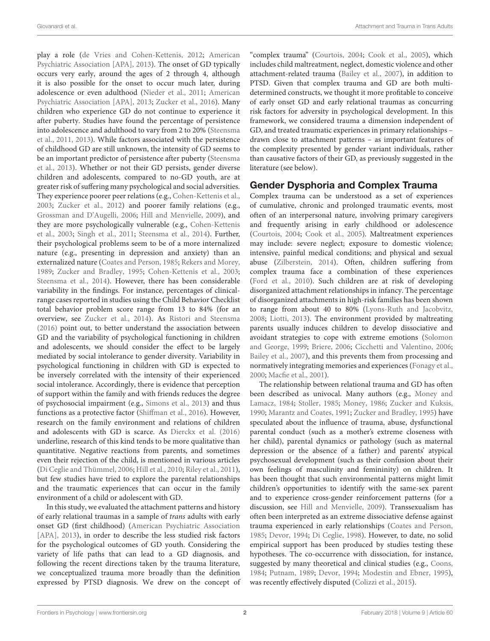play a role [\(de Vries and Cohen-Kettenis,](#page-10-4) [2012;](#page-10-4) [American](#page-9-0) [Psychiatric Association \[APA\],](#page-9-0) [2013\)](#page-9-0). The onset of GD typically occurs very early, around the ages of 2 through 4, although it is also possible for the onset to occur much later, during adolescence or even adulthood [\(Nieder et al.,](#page-11-3) [2011;](#page-11-3) [American](#page-9-0) [Psychiatric Association \[APA\],](#page-9-0) [2013;](#page-9-0) [Zucker et al.,](#page-12-0) [2016\)](#page-12-0). Many children who experience GD do not continue to experience it after puberty. Studies have found the percentage of persistence into adolescence and adulthood to vary from 2 to 20% [\(Steensma](#page-11-4) [et al.,](#page-11-4) [2011,](#page-11-4) [2013\)](#page-12-1). While factors associated with the persistence of childhood GD are still unknown, the intensity of GD seems to be an important predictor of persistence after puberty [\(Steensma](#page-12-1) [et al.,](#page-12-1) [2013\)](#page-12-1). Whether or not their GD persists, gender diverse children and adolescents, compared to no-GD youth, are at greater risk of suffering many psychological and social adversities. They experience poorer peer relations (e.g., [Cohen-Kettenis et al.,](#page-10-5) [2003;](#page-10-5) [Zucker et al.,](#page-12-2) [2012\)](#page-12-2) and poorer family relations (e.g., [Grossman and D'Augelli,](#page-10-6) [2006;](#page-10-6) [Hill and Menvielle,](#page-11-5) [2009\)](#page-11-5), and they are more psychologically vulnerable (e.g., [Cohen-Kettenis](#page-10-5) [et al.,](#page-10-5) [2003;](#page-10-5) [Singh et al.,](#page-11-6) [2011;](#page-11-6) [Steensma et al.,](#page-12-3) [2014\)](#page-12-3). Further, their psychological problems seem to be of a more internalized nature (e.g., presenting in depression and anxiety) than an externalized nature [\(Coates and Person,](#page-10-7) [1985;](#page-10-7) [Rekers and Morey,](#page-11-7) [1989;](#page-11-7) [Zucker and Bradley,](#page-12-4) [1995;](#page-12-4) [Cohen-Kettenis et al.,](#page-10-5) [2003;](#page-10-5) [Steensma et al.,](#page-12-3) [2014\)](#page-12-3). However, there has been considerable variability in the findings. For instance, percentages of clinicalrange cases reported in studies using the Child Behavior Checklist total behavior problem score range from 13 to 84% (for an overview, see [Zucker et al.,](#page-12-5) [2014\)](#page-12-5). As [Ristori and Steensma](#page-11-8) [\(2016\)](#page-11-8) point out, to better understand the association between GD and the variability of psychological functioning in children and adolescents, we should consider the effect to be largely mediated by social intolerance to gender diversity. Variability in psychological functioning in children with GD is expected to be inversely correlated with the intensity of their experienced social intolerance. Accordingly, there is evidence that perception of support within the family and with friends reduces the degree of psychosocial impairment (e.g., [Simons et al.,](#page-11-9) [2013\)](#page-11-9) and thus functions as a protective factor [\(Shiffman et al.,](#page-11-10) [2016\)](#page-11-10). However, research on the family environment and relations of children and adolescents with GD is scarce. As [Dierckx et al.](#page-10-8) [\(2016\)](#page-10-8) underline, research of this kind tends to be more qualitative than quantitative. Negative reactions from parents, and sometimes even their rejection of the child, is mentioned in various articles [\(Di Ceglie and Thümmel,](#page-10-9) [2006;](#page-10-9) [Hill et al.,](#page-11-11) [2010;](#page-11-11) [Riley et al.,](#page-11-12) [2011\)](#page-11-12), but few studies have tried to explore the parental relationships and the traumatic experiences that can occur in the family environment of a child or adolescent with GD.

In this study, we evaluated the attachment patterns and history of early relational traumas in a sample of trans adults with early onset GD (first childhood) [\(American Psychiatric Association](#page-9-0) [\[APA\],](#page-9-0) [2013\)](#page-9-0), in order to describe the less studied risk factors for the psychological outcomes of GD youth. Considering the variety of life paths that can lead to a GD diagnosis, and following the recent directions taken by the trauma literature, we conceptualized trauma more broadly than the definition expressed by PTSD diagnosis. We drew on the concept of "complex trauma" [\(Courtois,](#page-10-10) [2004;](#page-10-10) [Cook et al.,](#page-10-11) [2005\)](#page-10-11), which includes child maltreatment, neglect, domestic violence and other attachment-related trauma [\(Bailey et al.,](#page-9-2) [2007\)](#page-9-2), in addition to PTSD. Given that complex trauma and GD are both multidetermined constructs, we thought it more profitable to conceive of early onset GD and early relational traumas as concurring risk factors for adversity in psychological development. In this framework, we considered trauma a dimension independent of GD, and treated traumatic experiences in primary relationships – drawn close to attachment patterns – as important features of the complexity presented by gender variant individuals, rather than causative factors of their GD, as previously suggested in the literature (see below).

# Gender Dysphoria and Complex Trauma

Complex trauma can be understood as a set of experiences of cumulative, chronic and prolonged traumatic events, most often of an interpersonal nature, involving primary caregivers and frequently arising in early childhood or adolescence [\(Courtois,](#page-10-10) [2004;](#page-10-10) [Cook et al.,](#page-10-11) [2005\)](#page-10-11). Maltreatment experiences may include: severe neglect; exposure to domestic violence; intensive, painful medical conditions; and physical and sexual abuse [\(Zilberstein,](#page-12-6) [2014\)](#page-12-6). Often, children suffering from complex trauma face a combination of these experiences [\(Ford et al.,](#page-10-12) [2010\)](#page-10-12). Such children are at risk of developing disorganized attachment relationships in infancy. The percentage of disorganized attachments in high-risk families has been shown to range from about 40 to 80% [\(Lyons-Ruth and Jacobvitz,](#page-11-13) [2008;](#page-11-13) [Liotti,](#page-11-14) [2013\)](#page-11-14). The environment provided by maltreating parents usually induces children to develop dissociative and avoidant strategies to cope with extreme emotions [\(Solomon](#page-11-15) [and George,](#page-11-15) [1999;](#page-11-15) [Briere,](#page-10-13) [2006;](#page-10-13) [Cicchetti and Valentino,](#page-10-14) [2006;](#page-10-14) [Bailey et al.,](#page-9-2) [2007\)](#page-9-2), and this prevents them from processing and normatively integrating memories and experiences [\(Fonagy et al.,](#page-10-15) [2000;](#page-10-15) [Macfie et al.,](#page-11-16) [2001\)](#page-11-16).

The relationship between relational trauma and GD has often been described as univocal. Many authors (e.g., [Money and](#page-11-17) [Lamacz,](#page-11-17) [1984;](#page-11-17) [Stoller,](#page-12-7) [1985;](#page-12-7) [Money,](#page-11-18) [1986;](#page-11-18) [Zucker and Kuksis,](#page-12-8) [1990;](#page-12-8) [Marantz and Coates,](#page-11-19) [1991;](#page-11-19) [Zucker and Bradley,](#page-12-4) [1995\)](#page-12-4) have speculated about the influence of trauma, abuse, dysfunctional parental conduct (such as a mother's extreme closeness with her child), parental dynamics or pathology (such as maternal depression or the absence of a father) and parents' atypical psychosexual development (such as their confusion about their own feelings of masculinity and femininity) on children. It has been thought that such environmental patterns might limit children's opportunities to identify with the same-sex parent and to experience cross-gender reinforcement patterns (for a discussion, see [Hill and Menvielle,](#page-11-5) [2009\)](#page-11-5). Transsexualism has often been interpreted as an extreme dissociative defense against trauma experienced in early relationships [\(Coates and Person,](#page-10-7) [1985;](#page-10-7) [Devor,](#page-10-16) [1994;](#page-10-16) [Di Ceglie,](#page-10-17) [1998\)](#page-10-17). However, to date, no solid empirical support has been produced by studies testing these hypotheses. The co-occurrence with dissociation, for instance, suggested by many theoretical and clinical studies (e.g., [Coons,](#page-10-18) [1984;](#page-10-18) [Putnam,](#page-11-20) [1989;](#page-11-20) [Devor,](#page-10-16) [1994;](#page-10-16) [Modestin and Ebner,](#page-11-21) [1995\)](#page-11-21), was recently effectively disputed [\(Colizzi et al.,](#page-10-19) [2015\)](#page-10-19).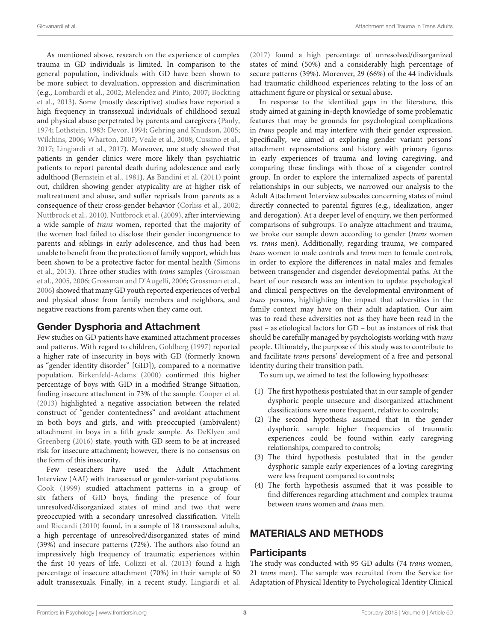As mentioned above, research on the experience of complex trauma in GD individuals is limited. In comparison to the general population, individuals with GD have been shown to be more subject to devaluation, oppression and discrimination (e.g., [Lombardi et al.,](#page-11-22) [2002;](#page-11-22) [Melendez and Pinto,](#page-11-23) [2007;](#page-11-23) [Bockting](#page-9-3) [et al.,](#page-9-3) [2013\)](#page-9-3). Some (mostly descriptive) studies have reported a high frequency in transsexual individuals of childhood sexual and physical abuse perpetrated by parents and caregivers [\(Pauly,](#page-11-24) [1974;](#page-11-24) [Lothstein,](#page-11-25) [1983;](#page-11-25) [Devor,](#page-10-16) [1994;](#page-10-16) [Gehring and Knudson,](#page-10-20) [2005;](#page-10-20) [Wilchins,](#page-12-9) [2006;](#page-12-9) [Wharton,](#page-12-10) [2007;](#page-12-10) [Veale et al.,](#page-12-11) [2008;](#page-12-11) [Cussino et al.,](#page-10-21) [2017;](#page-10-21) [Lingiardi et al.,](#page-11-26) [2017\)](#page-11-26). Moreover, one study showed that patients in gender clinics were more likely than psychiatric patients to report parental death during adolescence and early adulthood [\(Bernstein et al.,](#page-9-4) [1981\)](#page-9-4). As [Bandini et al.](#page-9-5) [\(2011\)](#page-9-5) point out, children showing gender atypicality are at higher risk of maltreatment and abuse, and suffer reprisals from parents as a consequence of their cross-gender behavior [\(Corliss et al.,](#page-10-22) [2002;](#page-10-22) [Nuttbrock et al.,](#page-11-27) [2010\)](#page-11-27). [Nuttbrock et al.](#page-11-28) [\(2009\)](#page-11-28), after interviewing a wide sample of trans women, reported that the majority of the women had failed to disclose their gender incongruence to parents and siblings in early adolescence, and thus had been unable to benefit from the protection of family support, which has been shown to be a protective factor for mental health [\(Simons](#page-11-9) [et al.,](#page-11-9) [2013\)](#page-11-9). Three other studies with trans samples [\(Grossman](#page-10-23) [et al.,](#page-10-23) [2005,](#page-10-23) [2006;](#page-10-24) [Grossman and D'Augelli,](#page-10-6) [2006;](#page-10-6) [Grossman et al.,](#page-10-24) [2006\)](#page-10-24) showed that many GD youth reported experiences of verbal and physical abuse from family members and neighbors, and negative reactions from parents when they came out.

# Gender Dysphoria and Attachment

Few studies on GD patients have examined attachment processes and patterns. With regard to children, [Goldberg](#page-10-25) [\(1997\)](#page-10-25) reported a higher rate of insecurity in boys with GD (formerly known as "gender identity disorder" [GID]), compared to a normative population. [Birkenfeld-Adams](#page-9-6) [\(2000\)](#page-9-6) confirmed this higher percentage of boys with GID in a modified Strange Situation, finding insecure attachment in 73% of the sample. [Cooper et al.](#page-10-26) [\(2013\)](#page-10-26) highlighted a negative association between the related construct of "gender contentedness" and avoidant attachment in both boys and girls, and with preoccupied (ambivalent) attachment in boys in a fifth grade sample. As [DeKlyen and](#page-10-27) [Greenberg](#page-10-27) [\(2016\)](#page-10-27) state, youth with GD seem to be at increased risk for insecure attachment; however, there is no consensus on the form of this insecurity.

Few researchers have used the Adult Attachment Interview (AAI) with transsexual or gender-variant populations. [Cook](#page-10-28) [\(1999\)](#page-10-28) studied attachment patterns in a group of six fathers of GID boys, finding the presence of four unresolved/disorganized states of mind and two that were preoccupied with a secondary unresolved classification. [Vitelli](#page-12-12) [and Riccardi](#page-12-12) [\(2010\)](#page-12-12) found, in a sample of 18 transsexual adults, a high percentage of unresolved/disorganized states of mind (39%) and insecure patterns (72%). The authors also found an impressively high frequency of traumatic experiences within the first 10 years of life. [Colizzi et al.](#page-10-29) [\(2013\)](#page-10-29) found a high percentage of insecure attachment (70%) in their sample of 50 adult transsexuals. Finally, in a recent study, [Lingiardi et al.](#page-11-26)

[\(2017\)](#page-11-26) found a high percentage of unresolved/disorganized states of mind (50%) and a considerably high percentage of secure patterns (39%). Moreover, 29 (66%) of the 44 individuals had traumatic childhood experiences relating to the loss of an attachment figure or physical or sexual abuse.

In response to the identified gaps in the literature, this study aimed at gaining in-depth knowledge of some problematic features that may be grounds for psychological complications in trans people and may interfere with their gender expression. Specifically, we aimed at exploring gender variant persons' attachment representations and history with primary figures in early experiences of trauma and loving caregiving, and comparing these findings with those of a cisgender control group. In order to explore the internalized aspects of parental relationships in our subjects, we narrowed our analysis to the Adult Attachment Interview subscales concerning states of mind directly connected to parental figures (e.g., idealization, anger and derogation). At a deeper level of enquiry, we then performed comparisons of subgroups. To analyze attachment and trauma, we broke our sample down according to gender (trans women vs. trans men). Additionally, regarding trauma, we compared trans women to male controls and trans men to female controls, in order to explore the differences in natal males and females between transgender and cisgender developmental paths. At the heart of our research was an intention to update psychological and clinical perspectives on the developmental environment of trans persons, highlighting the impact that adversities in the family context may have on their adult adaptation. Our aim was to read these adversities not as they have been read in the past – as etiological factors for GD – but as instances of risk that should be carefully managed by psychologists working with trans people. Ultimately, the purpose of this study was to contribute to and facilitate trans persons' development of a free and personal identity during their transition path.

To sum up, we aimed to test the following hypotheses:

- (1) The first hypothesis postulated that in our sample of gender dysphoric people unsecure and disorganized attachment classifications were more frequent, relative to controls;
- (2) The second hypothesis assumed that in the gender dysphoric sample higher frequencies of traumatic experiences could be found within early caregiving relationships, compared to controls;
- (3) The third hypothesis postulated that in the gender dysphoric sample early experiences of a loving caregiving were less frequent compared to controls;
- (4) The forth hypothesis assumed that it was possible to find differences regarding attachment and complex trauma between trans women and trans men.

# MATERIALS AND METHODS

# **Participants**

The study was conducted with 95 GD adults (74 trans women, 21 trans men). The sample was recruited from the Service for Adaptation of Physical Identity to Psychological Identity Clinical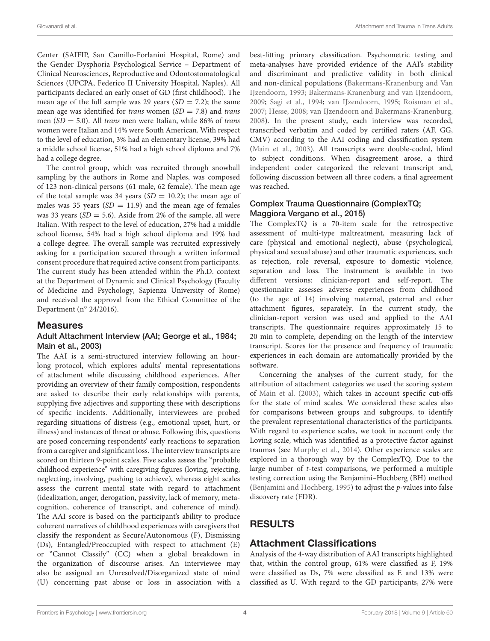Center (SAIFIP, San Camillo-Forlanini Hospital, Rome) and the Gender Dysphoria Psychological Service – Department of Clinical Neurosciences, Reproductive and Odontostomatological Sciences (UPCPA, Federico II University Hospital, Naples). All participants declared an early onset of GD (first childhood). The mean age of the full sample was 29 years  $(SD = 7.2)$ ; the same mean age was identified for *trans* women  $(SD = 7.8)$  and *trans* men ( $SD = 5.0$ ). All *trans* men were Italian, while 86% of *trans* women were Italian and 14% were South American. With respect to the level of education, 3% had an elementary license, 39% had a middle school license, 51% had a high school diploma and 7% had a college degree.

The control group, which was recruited through snowball sampling by the authors in Rome and Naples, was composed of 123 non-clinical persons (61 male, 62 female). The mean age of the total sample was 34 years ( $SD = 10.2$ ); the mean age of males was 35 years  $(SD = 11.9)$  and the mean age of females was 33 years ( $SD = 5.6$ ). Aside from 2% of the sample, all were Italian. With respect to the level of education, 27% had a middle school license, 54% had a high school diploma and 19% had a college degree. The overall sample was recruited expressively asking for a participation secured through a written informed consent procedure that required active consent from participants. The current study has been attended within the Ph.D. context at the Department of Dynamic and Clinical Psychology (Faculty of Medicine and Psychology, Sapienza University of Rome) and received the approval from the Ethical Committee of the Department (n◦ 24/2016).

### Measures

### Adult Attachment Interview (AAI; [George et al.,](#page-10-30) [1984;](#page-10-30) [Main et al.,](#page-11-29) [2003\)](#page-11-29)

The AAI is a semi-structured interview following an hourlong protocol, which explores adults' mental representations of attachment while discussing childhood experiences. After providing an overview of their family composition, respondents are asked to describe their early relationships with parents, supplying five adjectives and supporting these with descriptions of specific incidents. Additionally, interviewees are probed regarding situations of distress (e.g., emotional upset, hurt, or illness) and instances of threat or abuse. Following this, questions are posed concerning respondents' early reactions to separation from a caregiver and significant loss. The interview transcripts are scored on thirteen 9-point scales. Five scales assess the "probable childhood experience" with caregiving figures (loving, rejecting, neglecting, involving, pushing to achieve), whereas eight scales assess the current mental state with regard to attachment (idealization, anger, derogation, passivity, lack of memory, metacognition, coherence of transcript, and coherence of mind). The AAI score is based on the participant's ability to produce coherent narratives of childhood experiences with caregivers that classify the respondent as Secure/Autonomous (F), Dismissing (Ds), Entangled/Preoccupied with respect to attachment (E) or "Cannot Classify" (CC) when a global breakdown in the organization of discourse arises. An interviewee may also be assigned an Unresolved/Disorganized state of mind (U) concerning past abuse or loss in association with a

best-fitting primary classification. Psychometric testing and meta-analyses have provided evidence of the AAI's stability and discriminant and predictive validity in both clinical and non-clinical populations [\(Bakermans-Kranenburg and Van](#page-9-7) [IJzendoorn,](#page-9-7) [1993;](#page-9-7) [Bakermans-Kranenburg and van IJzendoorn,](#page-9-8) [2009;](#page-9-8) [Sagi et al.,](#page-11-30) [1994;](#page-11-30) [van IJzendoorn,](#page-12-13) [1995;](#page-12-13) [Roisman et al.,](#page-11-31) [2007;](#page-11-31) [Hesse,](#page-10-31) [2008;](#page-10-31) [van IJzendoorn and Bakermans-Kranenburg,](#page-12-14) [2008\)](#page-12-14). In the present study, each interview was recorded, transcribed verbatim and coded by certified raters (AF, GG, CMV) according to the AAI coding and classification system [\(Main et al.,](#page-11-29) [2003\)](#page-11-29). All transcripts were double-coded, blind to subject conditions. When disagreement arose, a third independent coder categorized the relevant transcript and, following discussion between all three coders, a final agreement was reached.

### Complex Trauma Questionnaire (ComplexTQ; [Maggiora Vergano et al.,](#page-11-32) [2015\)](#page-11-32)

The ComplexTQ is a 70-item scale for the retrospective assessment of multi-type maltreatment, measuring lack of care (physical and emotional neglect), abuse (psychological, physical and sexual abuse) and other traumatic experiences, such as rejection, role reversal, exposure to domestic violence, separation and loss. The instrument is available in two different versions: clinician-report and self-report. The questionnaire assesses adverse experiences from childhood (to the age of 14) involving maternal, paternal and other attachment figures, separately. In the current study, the clinician-report version was used and applied to the AAI transcripts. The questionnaire requires approximately 15 to 20 min to complete, depending on the length of the interview transcript. Scores for the presence and frequency of traumatic experiences in each domain are automatically provided by the software.

Concerning the analyses of the current study, for the attribution of attachment categories we used the scoring system of [Main et al.](#page-11-29) [\(2003\)](#page-11-29), which takes in account specific cut-offs for the state of mind scales. We considered these scales also for comparisons between groups and subgroups, to identify the prevalent representational characteristics of the participants. With regard to experience scales, we took in account only the Loving scale, which was identified as a protective factor against traumas (see [Murphy et al.,](#page-11-33) [2014\)](#page-11-33). Other experience scales are explored in a thorough way by the ComplexTQ. Due to the large number of t-test comparisons, we performed a multiple testing correction using the Benjamini–Hochberg (BH) method [\(Benjamini and Hochberg,](#page-9-9) [1995\)](#page-9-9) to adjust the p-values into false discovery rate (FDR).

# RESULTS

# Attachment Classifications

Analysis of the 4-way distribution of AAI transcripts highlighted that, within the control group, 61% were classified as F, 19% were classified as Ds, 7% were classified as E and 13% were classified as U. With regard to the GD participants, 27% were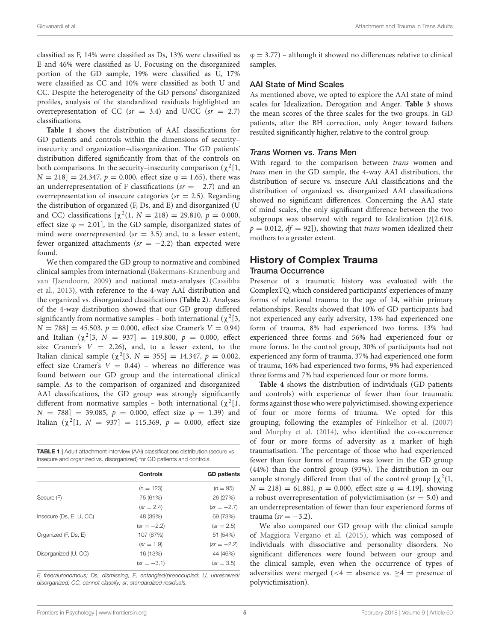classified as F, 14% were classified as Ds, 13% were classified as E and 46% were classified as U. Focusing on the disorganized portion of the GD sample, 19% were classified as U, 17% were classified as CC and 10% were classified as both U and CC. Despite the heterogeneity of the GD persons' disorganized profiles, analysis of the standardized residuals highlighted an overrepresentation of CC ( $sr = 3.4$ ) and U/CC ( $sr = 2.7$ ) classifications.

**[Table 1](#page-4-0)** shows the distribution of AAI classifications for GD patients and controls within the dimensions of security– insecurity and organization–disorganization. The GD patients' distribution differed significantly from that of the controls on both comparisons. In the security–insecurity comparison ( $\chi^2[1,$  $N = 218$ ] = 24.347,  $p = 0.000$ , effect size  $\varphi = 1.65$ ), there was an underrepresentation of F classifications ( $sr = -2.7$ ) and an overrepresentation of insecure categories ( $sr = 2.5$ ). Regarding the distribution of organized (F, Ds, and E) and disorganized (U and CC) classifications  $[\chi^2(1, N = 218) = 29.810, p = 0.000,$ effect size  $\varphi = 2.01$ , in the GD sample, disorganized states of mind were overrepresented ( $sr = 3.5$ ) and, to a lesser extent, fewer organized attachments ( $sr = -2.2$ ) than expected were found.

We then compared the GD group to normative and combined clinical samples from international [\(Bakermans-Kranenburg and](#page-9-8) [van IJzendoorn,](#page-9-8) [2009\)](#page-9-8) and national meta-analyses [\(Cassibba](#page-10-32) [et al.,](#page-10-32) [2013\)](#page-10-32), with reference to the 4-way AAI distribution and the organized vs. disorganized classifications (**[Table 2](#page-5-0)**). Analyses of the 4-way distribution showed that our GD group differed significantly from normative samples – both international ( $\chi^2$ [3,  $N = 788$ ] = 45.503,  $p = 0.000$ , effect size Cramer's  $V = 0.94$ ) and Italian ( $\chi^2[3, N = 937] = 119.800, p = 0.000,$  effect size Cramer's  $V = 2.26$ ), and, to a lesser extent, to the Italian clinical sample ( $\chi^2[3, N = 355] = 14.347, p = 0.002$ , effect size Cramer's  $V = 0.44$ ) – whereas no difference was found between our GD group and the international clinical sample. As to the comparison of organized and disorganized AAI classifications, the GD group was strongly significantly different from normative samples - both international  $(\chi^2[1,$  $N = 788$ ] = 39.085,  $p = 0.000$ , effect size  $\varphi = 1.39$ ) and Italian  $(\chi^2[1, N = 937] = 115.369, p = 0.000,$  effect size

<span id="page-4-0"></span>TABLE 1 | Adult attachment interview (AAI) classifications distribution (secure vs. insecure and organized vs. disorganized) for GD patients and controls.

|                         | Controls     | <b>GD</b> patients |
|-------------------------|--------------|--------------------|
|                         | $(n = 123)$  | $(n = 95)$         |
| Secure (F)              | 75 (61%)     | 26 (27%)           |
|                         | $(sr = 2.4)$ | $(sr = -2.7)$      |
| Insecure (Ds, E, U, CC) | 48 (39%)     | 69 (73%)           |
|                         | $sr = -2.2$  | $(sr = 2.5)$       |
| Organized (F, Ds, E)    | 107 (87%)    | 51 (54%)           |
|                         | $(sr = 1.9)$ | $(sr = -2.2)$      |
| Disorganized (U, CC)    | 16 (13%)     | 44 (46%)           |
|                         | $sr = -3.1$  | $sr = 3.5$         |
|                         |              |                    |

F, free/autonomous; Ds, dismissing; E, entangled/preoccupied; U, unresolved/ disorganized; CC, cannot classify; sr, standardized residuals.

 $\varphi = 3.77$ ) – although it showed no differences relative to clinical samples.

### AAI State of Mind Scales

As mentioned above, we opted to explore the AAI state of mind scales for Idealization, Derogation and Anger. **[Table 3](#page-5-1)** shows the mean scores of the three scales for the two groups. In GD patients, after the BH correction, only Anger toward fathers resulted significantly higher, relative to the control group.

### Trans Women vs. Trans Men

With regard to the comparison between trans women and trans men in the GD sample, the 4-way AAI distribution, the distribution of secure vs. insecure AAI classifications and the distribution of organized vs. disorganized AAI classifications showed no significant differences. Concerning the AAI state of mind scales, the only significant difference between the two subgroups was observed with regard to Idealization  $(t[2.618,$  $p = 0.012$ ,  $df = 92$ ]), showing that *trans* women idealized their mothers to a greater extent.

# History of Complex Trauma

# Trauma Occurrence

Presence of a traumatic history was evaluated with the ComplexTQ, which considered participants' experiences of many forms of relational trauma to the age of 14, within primary relationships. Results showed that 10% of GD participants had not experienced any early adversity, 13% had experienced one form of trauma, 8% had experienced two forms, 13% had experienced three forms and 56% had experienced four or more forms. In the control group, 30% of participants had not experienced any form of trauma, 37% had experienced one form of trauma, 16% had experienced two forms, 9% had experienced three forms and 7% had experienced four or more forms.

**[Table 4](#page-5-2)** shows the distribution of individuals (GD patients and controls) with experience of fewer than four traumatic forms against those who were polyvictimised, showing experience of four or more forms of trauma. We opted for this grouping, following the examples of [Finkelhor et al.](#page-10-33) [\(2007\)](#page-10-33) and [Murphy et al.](#page-11-33) [\(2014\)](#page-11-33), who identified the co-occurrence of four or more forms of adversity as a marker of high traumatisation. The percentage of those who had experienced fewer than four forms of trauma was lower in the GD group (44%) than the control group (93%). The distribution in our sample strongly differed from that of the control group  $[\chi^2(1,$  $N = 218$ ) = 61.881,  $p = 0.000$ , effect size  $\varphi = 4.19$ , showing a robust overrepresentation of polyvictimisation ( $sr = 5.0$ ) and an underrepresentation of fewer than four experienced forms of trauma ( $sr = -3.2$ ).

We also compared our GD group with the clinical sample of [Maggiora Vergano et al.](#page-11-32) [\(2015\)](#page-11-32), which was composed of individuals with dissociative and personality disorders. No significant differences were found between our group and the clinical sample, even when the occurrence of types of adversities were merged (<4 = absence vs.  $\geq$ 4 = presence of polyvictimisation).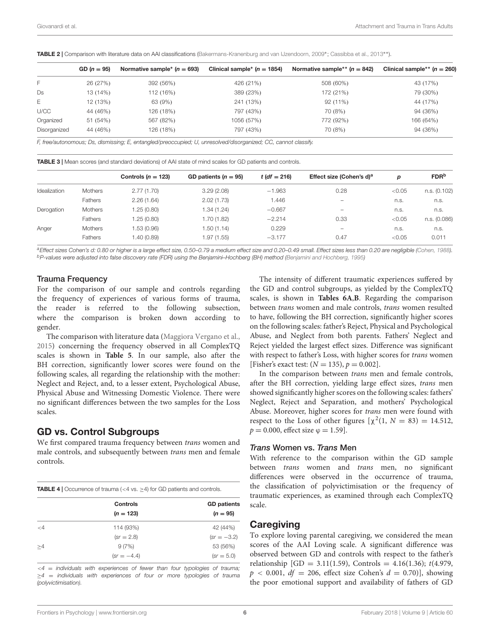<span id="page-5-0"></span>TABLE 2 | Comparison with literature data on AAI classifications [\(Bakermans-Kranenburg and van IJzendoorn,](#page-9-8) [2009](#page-9-8)\*; [Cassibba et al.,](#page-10-32) [2013](#page-10-32)\*\*).

|              | $GD (n = 95)$ | Normative sample <sup>*</sup> ( $n = 693$ ) | Clinical sample <sup>*</sup> ( $n = 1854$ ) | Normative sample** $(n = 842)$ | Clinical sample** $(n = 260)$ |
|--------------|---------------|---------------------------------------------|---------------------------------------------|--------------------------------|-------------------------------|
| F            | 26 (27%)      | 392 (56%)                                   | 426 (21%)                                   | 508 (60%)                      | 43 (17%)                      |
| Ds           | 13 (14%)      | 112 (16%)                                   | 389 (23%)                                   | 172 (21%)                      | 79 (30%)                      |
| Е            | 12 (13%)      | 63 (9%)                                     | 241 (13%)                                   | 92(11%)                        | 44 (17%)                      |
| U/CC         | 44 (46%)      | 126 (18%)                                   | 797 (43%)                                   | 70 (8%)                        | 94 (36%)                      |
| Organized    | 51 (54%)      | 567 (82%)                                   | 1056 (57%)                                  | 772 (92%)                      | 166 (64%)                     |
| Disorganized | 44 (46%)      | 126 (18%)                                   | 797 (43%)                                   | 70 (8%)                        | 94 (36%)                      |

F, free/autonomous; Ds, dismissing; E, entangled/preoccupied; U, unresolved/disorganized; CC, cannot classify.

<span id="page-5-1"></span>TABLE 3 | Mean scores (and standard deviations) of AAI state of mind scales for GD patients and controls.

|              |                | Controls ( $n = 123$ ) | GD patients $(n = 95)$ | $t (df = 216)$ | Effect size (Cohen's d) <sup>a</sup> | D      | <b>FDR</b> b |
|--------------|----------------|------------------------|------------------------|----------------|--------------------------------------|--------|--------------|
| Idealization | <b>Mothers</b> | 2.77(1.70)             | 3.29(2.08)             | $-1.963$       | 0.28                                 | < 0.05 | n.s. (0.102) |
|              | Fathers        | 2.26(1.64)             | 2.02(1.73)             | 1.446          | $\overline{\phantom{a}}$             | n.s.   | n.s.         |
| Derogation   | <b>Mothers</b> | 1.25 (0.80)            | 1.34 (1.24)            | $-0.667$       | $\overline{\phantom{a}}$             | n.s.   | n.s.         |
|              | Fathers        | 1.25 (0.80)            | 1.70 (1.82)            | $-2.214$       | 0.33                                 | < 0.05 | n.s. (0.086) |
| Anger        | <b>Mothers</b> | 1.53 (0.96)            | 1.50 (1.14)            | 0.229          | $\overline{\phantom{a}}$             | n.s.   | n.s.         |
|              | <b>Fathers</b> | (0.89) 1.40            | 1.97 (1.55)            | $-3.177$       | 0.47                                 | < 0.05 | 0.011        |
|              |                |                        |                        |                |                                      |        |              |

aEffect sizes Cohen's d: 0.80 or higher is a large effect size, 0.50-0.79 a medium effect size and 0.20-0.49 small. Effect sizes less than 0.20 are negligible [\(Cohen,](#page-10-34) [1988\)](#page-10-34). bP-values were adjusted into false discovery rate (FDR) using the Benjamini–Hochberg (BH) method [\(Benjamini and Hochberg,](#page-9-9) [1995\)](#page-9-9)

### Trauma Frequency

For the comparison of our sample and controls regarding the frequency of experiences of various forms of trauma, the reader is referred to the following subsection, where the comparison is broken down according to gender.

The comparison with literature data [\(Maggiora Vergano et al.,](#page-11-32) [2015\)](#page-11-32) concerning the frequency observed in all ComplexTQ scales is shown in **[Table 5](#page-6-0)**. In our sample, also after the BH correction, significantly lower scores were found on the following scales, all regarding the relationship with the mother: Neglect and Reject, and, to a lesser extent, Psychological Abuse, Physical Abuse and Witnessing Domestic Violence. There were no significant differences between the two samples for the Loss scales.

### GD vs. Control Subgroups

We first compared trauma frequency between trans women and male controls, and subsequently between trans men and female controls.

<span id="page-5-2"></span>**TABLE 4** | Occurrence of trauma (<4 vs.  $\geq$ 4) for GD patients and controls.

|          | <b>Controls</b> | <b>GD</b> patients |
|----------|-----------------|--------------------|
|          | $(n = 123)$     | $(n = 95)$         |
| $\lt 4$  | 114 (93%)       | 42 (44%)           |
|          | $(sr = 2.8)$    | $(sr = -3.2)$      |
| $\geq 4$ | 9(7%)           | 53 (56%)           |
|          | $(sr = -4.4)$   | $(sr = 5.0)$       |

 $4 =$  individuals with experiences of fewer than four typologies of trauma;  $\geq 4$  = individuals with experiences of four or more typologies of trauma (polyvictimisation).

The intensity of different traumatic experiences suffered by the GD and control subgroups, as yielded by the ComplexTQ scales, is shown in **[Tables 6A](#page-6-1)**,**[B](#page-7-0)**. Regarding the comparison between trans women and male controls, trans women resulted to have, following the BH correction, significantly higher scores on the following scales: father's Reject, Physical and Psychological Abuse, and Neglect from both parents. Fathers' Neglect and Reject yielded the largest effect sizes. Difference was significant with respect to father's Loss, with higher scores for trans women [Fisher's exact test:  $(N = 135)$ ,  $p = 0.002$ ].

In the comparison between trans men and female controls, after the BH correction, yielding large effect sizes, trans men showed significantly higher scores on the following scales: fathers' Neglect, Reject and Separation, and mothers' Psychological Abuse. Moreover, higher scores for trans men were found with respect to the Loss of other figures  $[\chi^2(1, N = 83) = 14.512,$  $p = 0.000$ , effect size  $\varphi = 1.59$ .

### Trans Women vs. Trans Men

With reference to the comparison within the GD sample between trans women and trans men, no significant differences were observed in the occurrence of trauma, the classification of polyvictimisation or the frequency of traumatic experiences, as examined through each ComplexTQ scale.

# **Caregiving**

To explore loving parental caregiving, we considered the mean scores of the AAI Loving scale. A significant difference was observed between GD and controls with respect to the father's relationship  $[GD = 3.11(1.59),$  Controls = 4.16(1.36);  $t(4.979,$  $p < 0.001$ ,  $df = 206$ , effect size Cohen's  $d = 0.70$ ], showing the poor emotional support and availability of fathers of GD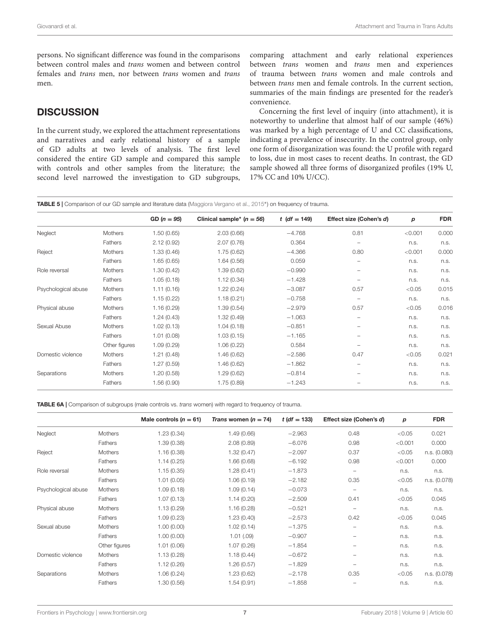persons. No significant difference was found in the comparisons between control males and trans women and between control females and trans men, nor between trans women and trans men.

# **DISCUSSION**

In the current study, we explored the attachment representations and narratives and early relational history of a sample of GD adults at two levels of analysis. The first level considered the entire GD sample and compared this sample with controls and other samples from the literature; the second level narrowed the investigation to GD subgroups,

comparing attachment and early relational experiences between trans women and trans men and experiences of trauma between trans women and male controls and between trans men and female controls. In the current section, summaries of the main findings are presented for the reader's convenience.

Concerning the first level of inquiry (into attachment), it is noteworthy to underline that almost half of our sample (46%) was marked by a high percentage of U and CC classifications, indicating a prevalence of insecurity. In the control group, only one form of disorganization was found: the U profile with regard to loss, due in most cases to recent deaths. In contrast, the GD sample showed all three forms of disorganized profiles (19% U, 17% CC and 10% U/CC).

<span id="page-6-0"></span>TABLE 5 | Comparison of our GD sample and literature data [\(Maggiora Vergano et al.,](#page-11-32) [2015](#page-11-32)\*) on frequency of trauma.

|                     |                | $GD (n = 95)$ | Clinical sample <sup>*</sup> $(n = 56)$ | <i>t</i> ( <i>df</i> = 149) | Effect size (Cohen's d) | p       | <b>FDR</b> |
|---------------------|----------------|---------------|-----------------------------------------|-----------------------------|-------------------------|---------|------------|
| Neglect             | <b>Mothers</b> | 1.50(0.65)    | 2.03(0.66)                              | $-4.768$                    | 0.81                    | < 0.001 | 0.000      |
|                     | Fathers        | 2.12(0.92)    | 2.07(0.76)                              | 0.364                       | $\qquad \qquad -$       | n.s.    | n.s.       |
| Reject              | <b>Mothers</b> | 1.33(0.46)    | 1.75(0.62)                              | $-4.366$                    | 0.80                    | < 0.001 | 0.000      |
|                     | Fathers        | 1.65(0.65)    | 1.64(0.56)                              | 0.059                       |                         | n.s.    | n.s.       |
| Role reversal       | <b>Mothers</b> | 1.30 (0.42)   | 1.39(0.62)                              | $-0.990$                    |                         | n.s.    | n.s.       |
|                     | Fathers        | 1.05(0.18)    | 1.12(0.34)                              | $-1.428$                    | -                       | n.s.    | n.s.       |
| Psychological abuse | <b>Mothers</b> | 1.11(0.16)    | 1.22(0.24)                              | $-3.087$                    | 0.57                    | < 0.05  | 0.015      |
|                     | Fathers        | 1.15(0.22)    | 1.18(0.21)                              | $-0.758$                    | -                       | n.s.    | n.s.       |
| Physical abuse      | Mothers        | 1.16(0.29)    | 1.39(0.54)                              | $-2.979$                    | 0.57                    | < 0.05  | 0.016      |
|                     | Fathers        | 1.24(0.43)    | 1.32(0.49)                              | $-1.063$                    |                         | n.s.    | n.s.       |
| Sexual Abuse        | Mothers        | 1.02(0.13)    | 1.04(0.18)                              | $-0.851$                    |                         | n.s.    | n.s.       |
|                     | Fathers        | 1.01(0.08)    | 1.03(0.15)                              | $-1.165$                    |                         | n.s.    | n.s.       |
|                     | Other figures  | 1.09(0.29)    | 1.06(0.22)                              | 0.584                       | -                       | n.s.    | n.s.       |
| Domestic violence   | <b>Mothers</b> | 1.21(0.48)    | 1.46(0.62)                              | $-2.586$                    | 0.47                    | < 0.05  | 0.021      |
|                     | Fathers        | 1.27(0.59)    | 1.46(0.62)                              | $-1.862$                    |                         | n.s.    | n.s.       |
| Separations         | Mothers        | 1.20 (0.58)   | 1.29(0.62)                              | $-0.814$                    |                         | n.s.    | n.s.       |
|                     | Fathers        | 1.56(0.90)    | 1.75(0.89)                              | $-1.243$                    |                         | n.s.    | n.s.       |

<span id="page-6-1"></span>**TABLE 6A** | Comparison of subgroups (male controls vs. *trans* women) with regard to frequency of trauma.

|                     |               | Male controls ( $n = 61$ ) | Trans women $(n = 74)$ | $t (df = 133)$ | Effect size (Cohen's d)  | р       | <b>FDR</b>   |
|---------------------|---------------|----------------------------|------------------------|----------------|--------------------------|---------|--------------|
| Neglect             | Mothers       | 1.23(0.34)                 | 1.49(0.66)             | $-2.963$       | 0.48                     | < 0.05  | 0.021        |
|                     | Fathers       | 1.39(0.38)                 | 2.08(0.89)             | $-6.076$       | 0.98                     | < 0.001 | 0.000        |
| Reject              | Mothers       | 1.16(0.38)                 | 1.32(0.47)             | $-2.097$       | 0.37                     | < 0.05  | n.s. (0.080) |
|                     | Fathers       | 1.14(0.25)                 | 1.66(0.68)             | $-6.192$       | 0.98                     | < 0.001 | 0.000        |
| Role reversal       | Mothers       | 1.15(0.35)                 | 1.28(0.41)             | $-1.873$       | $\overline{\phantom{0}}$ | n.s.    | n.s.         |
|                     | Fathers       | 1.01(0.05)                 | 1.06(0.19)             | $-2.182$       | 0.35                     | < 0.05  | n.s. (0.078) |
| Psychological abuse | Mothers       | 1.09(0.18)                 | 1.09(0.14)             | $-0.073$       | $\overline{\phantom{0}}$ | n.s.    | n.s.         |
|                     | Fathers       | 1.07(0.13)                 | 1.14(0.20)             | $-2.509$       | 0.41                     | < 0.05  | 0.045        |
| Physical abuse      | Mothers       | 1.13(0.29)                 | 1.16(0.28)             | $-0.521$       | $\qquad \qquad$          | n.s.    | n.s.         |
|                     | Fathers       | 1.09(0.23)                 | 1.23(0.40)             | $-2.573$       | 0.42                     | < 0.05  | 0.045        |
| Sexual abuse        | Mothers       | 1.00(0.00)                 | 1.02(0.14)             | $-1.375$       | -                        | n.s.    | n.s.         |
|                     | Fathers       | 1.00(0.00)                 | 1.01(.09)              | $-0.907$       |                          | n.s.    | n.s.         |
|                     | Other figures | 1.01(0.06)                 | 1.07(0.26)             | $-1.854$       | -                        | n.s.    | n.s.         |
| Domestic violence   | Mothers       | 1.13(0.28)                 | 1.18(0.44)             | $-0.672$       |                          | n.s.    | n.s.         |
|                     | Fathers       | 1.12(0.26)                 | 1.26(0.57)             | $-1.829$       |                          | n.s.    | n.s.         |
| Separations         | Mothers       | 1.06(0.24)                 | 1.23(0.62)             | $-2.178$       | 0.35                     | < 0.05  | n.s. (0.078) |
|                     | Fathers       | 1.30(0.56)                 | 1.54(0.91)             | $-1.858$       |                          | n.s.    | n.s.         |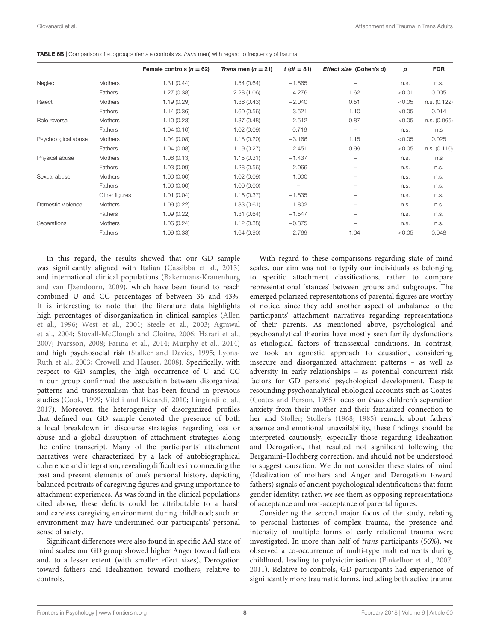|                     |                | Female controls $(n = 62)$ | Trans men $(n = 21)$ | <i>t</i> ( <i>df</i> = 81) | Effect size (Cohen's d) | p      | <b>FDR</b>   |
|---------------------|----------------|----------------------------|----------------------|----------------------------|-------------------------|--------|--------------|
| Neglect             | <b>Mothers</b> | 1.31(0.44)                 | 1.54(0.64)           | $-1.565$                   |                         | n.s.   | n.s.         |
|                     | Fathers        | 1.27(0.38)                 | 2.28(1.06)           | $-4.276$                   | 1.62                    | < 0.01 | 0.005        |
| Reject              | Mothers        | 1.19(0.29)                 | 1.36(0.43)           | $-2.040$                   | 0.51                    | < 0.05 | n.s. (0.122) |
|                     | Fathers        | 1.14(0.36)                 | 1.60(0.56)           | $-3.521$                   | 1.10                    | < 0.05 | 0.014        |
| Role reversal       | <b>Mothers</b> | 1.10(0.23)                 | 1.37(0.48)           | $-2.512$                   | 0.87                    | < 0.05 | n.s. (0.065) |
|                     | Fathers        | 1.04(0.10)                 | 1.02(0.09)           | 0.716                      |                         | n.s.   | n.s          |
| Psychological abuse | <b>Mothers</b> | 1.04(0.08)                 | 1.18(0.20)           | $-3.166$                   | 1.15                    | < 0.05 | 0.025        |
|                     | Fathers        | 1.04(0.08)                 | 1.19(0.27)           | $-2.451$                   | 0.99                    | < 0.05 | n.s. (0.110) |
| Physical abuse      | <b>Mothers</b> | 1.06(0.13)                 | 1.15(0.31)           | $-1.437$                   |                         | n.s.   | n.s          |
|                     | Fathers        | 1.03(0.09)                 | 1.28(0.56)           | $-2.066$                   | -                       | n.s.   | n.s.         |
| Sexual abuse        | <b>Mothers</b> | 1.00(0.00)                 | 1.02(0.09)           | $-1.000$                   | -                       | n.s.   | n.s.         |
|                     | Fathers        | 1.00(0.00)                 | 1.00(0.00)           | $\overline{\phantom{0}}$   | -                       | n.s.   | n.s.         |
|                     | Other figures  | 1.01(0.04)                 | 1.16(0.37)           | $-1.835$                   | -                       | n.s.   | n.s.         |
| Domestic violence   | <b>Mothers</b> | 1.09(0.22)                 | 1.33(0.61)           | $-1.802$                   |                         | n.s.   | n.s.         |
|                     | Fathers        | 1.09(0.22)                 | 1.31(0.64)           | $-1.547$                   |                         | n.s.   | n.s.         |
| Separations         | Mothers        | 1.06(0.24)                 | 1.12(0.38)           | $-0.875$                   |                         | n.s.   | n.s.         |
|                     | Fathers        | 1.09(0.33)                 | 1.64(0.90)           | $-2.769$                   | 1.04                    | < 0.05 | 0.048        |

<span id="page-7-0"></span>TABLE 6B | Comparison of subgroups (female controls vs. trans men) with regard to frequency of trauma.

In this regard, the results showed that our GD sample was significantly aligned with Italian [\(Cassibba et al.,](#page-10-32) [2013\)](#page-10-32) and international clinical populations [\(Bakermans-Kranenburg](#page-9-8) [and van IJzendoorn,](#page-9-8) [2009\)](#page-9-8), which have been found to reach combined U and CC percentages of between 36 and 43%. It is interesting to note that the literature data highlights high percentages of disorganization in clinical samples [\(Allen](#page-9-10) [et al.,](#page-9-10) [1996;](#page-9-10) [West et al.,](#page-12-15) [2001;](#page-12-15) [Steele et al.,](#page-11-34) [2003;](#page-11-34) [Agrawal](#page-9-11) [et al.,](#page-9-11) [2004;](#page-9-11) [Stovall-McClough and Cloitre,](#page-12-16) [2006;](#page-12-16) [Harari et al.,](#page-10-35) [2007;](#page-10-35) [Ivarsson,](#page-11-35) [2008;](#page-11-35) [Farina et al.,](#page-10-36) [2014;](#page-10-36) [Murphy et al.,](#page-11-33) [2014\)](#page-11-33) and high psychosocial risk [\(Stalker and Davies,](#page-11-36) [1995;](#page-11-36) [Lyons-](#page-11-37)[Ruth et al.,](#page-11-37) [2003;](#page-11-37) [Crowell and Hauser,](#page-10-37) [2008\)](#page-10-37). Specifically, with respect to GD samples, the high occurrence of U and CC in our group confirmed the association between disorganized patterns and transsexualism that has been found in previous studies [\(Cook,](#page-10-28) [1999;](#page-10-28) [Vitelli and Riccardi,](#page-12-12) [2010;](#page-12-12) [Lingiardi et al.,](#page-11-26) [2017\)](#page-11-26). Moreover, the heterogeneity of disorganized profiles that defined our GD sample denoted the presence of both a local breakdown in discourse strategies regarding loss or abuse and a global disruption of attachment strategies along the entire transcript. Many of the participants' attachment narratives were characterized by a lack of autobiographical coherence and integration, revealing difficulties in connecting the past and present elements of one's personal history, depicting balanced portraits of caregiving figures and giving importance to attachment experiences. As was found in the clinical populations cited above, these deficits could be attributable to a harsh and careless caregiving environment during childhood; such an environment may have undermined our participants' personal sense of safety.

Significant differences were also found in specific AAI state of mind scales: our GD group showed higher Anger toward fathers and, to a lesser extent (with smaller effect sizes), Derogation toward fathers and Idealization toward mothers, relative to controls.

With regard to these comparisons regarding state of mind scales, our aim was not to typify our individuals as belonging to specific attachment classifications, rather to compare representational 'stances' between groups and subgroups. The emerged polarized representations of parental figures are worthy of notice, since they add another aspect of unbalance to the participants' attachment narratives regarding representations of their parents. As mentioned above, psychological and psychoanalytical theories have mostly seen family dysfunctions as etiological factors of transsexual conditions. In contrast, we took an agnostic approach to causation, considering insecure and disorganized attachment patterns – as well as adversity in early relationships – as potential concurrent risk factors for GD persons' psychological development. Despite resounding psychoanalytical etiological accounts such as Coates' [\(Coates and Person,](#page-10-7) [1985\)](#page-10-7) focus on trans children's separation anxiety from their mother and their fantasized connection to her and [Stoller;](#page-12-17) [Stoller's](#page-12-7) [\(1968;](#page-12-17) [1985\)](#page-12-7) remark about fathers' absence and emotional unavailability, these findings should be interpreted cautiously, especially those regarding Idealization and Derogation, that resulted not significant following the Bergamini–Hochberg correction, and should not be understood to suggest causation. We do not consider these states of mind (Idealization of mothers and Anger and Derogation toward fathers) signals of ancient psychological identifications that form gender identity; rather, we see them as opposing representations of acceptance and non-acceptance of parental figures.

Considering the second major focus of the study, relating to personal histories of complex trauma, the presence and intensity of multiple forms of early relational trauma were investigated. In more than half of trans participants (56%), we observed a co-occurrence of multi-type maltreatments during childhood, leading to polyvictimisation [\(Finkelhor et al.,](#page-10-33) [2007,](#page-10-33) [2011\)](#page-10-38). Relative to controls, GD participants had experience of significantly more traumatic forms, including both active trauma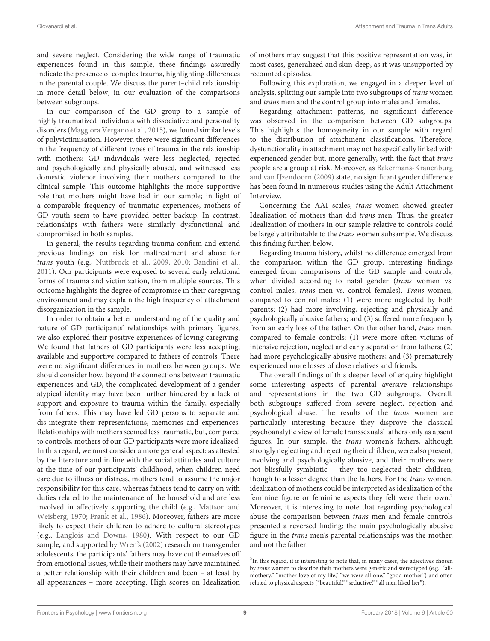and severe neglect. Considering the wide range of traumatic experiences found in this sample, these findings assuredly indicate the presence of complex trauma, highlighting differences in the parental couple. We discuss the parent–child relationship in more detail below, in our evaluation of the comparisons between subgroups.

In our comparison of the GD group to a sample of highly traumatized individuals with dissociative and personality disorders [\(Maggiora Vergano et al.,](#page-11-32) [2015\)](#page-11-32), we found similar levels of polyvictimisation. However, there were significant differences in the frequency of different types of trauma in the relationship with mothers: GD individuals were less neglected, rejected and psychologically and physically abused, and witnessed less domestic violence involving their mothers compared to the clinical sample. This outcome highlights the more supportive role that mothers might have had in our sample; in light of a comparable frequency of traumatic experiences, mothers of GD youth seem to have provided better backup. In contrast, relationships with fathers were similarly dysfunctional and compromised in both samples.

In general, the results regarding trauma confirm and extend previous findings on risk for maltreatment and abuse for trans youth (e.g., [Nuttbrock et al.,](#page-11-28) [2009,](#page-11-28) [2010;](#page-11-27) [Bandini et al.,](#page-9-5) [2011\)](#page-9-5). Our participants were exposed to several early relational forms of trauma and victimization, from multiple sources. This outcome highlights the degree of compromise in their caregiving environment and may explain the high frequency of attachment disorganization in the sample.

In order to obtain a better understanding of the quality and nature of GD participants' relationships with primary figures, we also explored their positive experiences of loving caregiving. We found that fathers of GD participants were less accepting, available and supportive compared to fathers of controls. There were no significant differences in mothers between groups. We should consider how, beyond the connections between traumatic experiences and GD, the complicated development of a gender atypical identity may have been further hindered by a lack of support and exposure to trauma within the family, especially from fathers. This may have led GD persons to separate and dis-integrate their representations, memories and experiences. Relationships with mothers seemed less traumatic, but, compared to controls, mothers of our GD participants were more idealized. In this regard, we must consider a more general aspect: as attested by the literature and in line with the social attitudes and culture at the time of our participants' childhood, when children need care due to illness or distress, mothers tend to assume the major responsibility for this care, whereas fathers tend to carry on with duties related to the maintenance of the household and are less involved in affectively supporting the child (e.g., [Mattson and](#page-11-38) [Weisberg,](#page-11-38) [1970;](#page-11-38) [Frank et al.,](#page-10-39) [1986\)](#page-10-39). Moreover, fathers are more likely to expect their children to adhere to cultural stereotypes (e.g., [Langlois and Downs,](#page-11-39) [1980\)](#page-11-39). With respect to our GD sample, and supported by [Wren's](#page-12-18) [\(2002\)](#page-12-18) research on transgender adolescents, the participants' fathers may have cut themselves off from emotional issues, while their mothers may have maintained a better relationship with their children and been – at least by all appearances – more accepting. High scores on Idealization

of mothers may suggest that this positive representation was, in most cases, generalized and skin-deep, as it was unsupported by recounted episodes.

Following this exploration, we engaged in a deeper level of analysis, splitting our sample into two subgroups of trans women and trans men and the control group into males and females.

Regarding attachment patterns, no significant difference was observed in the comparison between GD subgroups. This highlights the homogeneity in our sample with regard to the distribution of attachment classifications. Therefore, dysfunctionality in attachment may not be specifically linked with experienced gender but, more generally, with the fact that trans people are a group at risk. Moreover, as [Bakermans-Kranenburg](#page-9-8) [and van IJzendoorn](#page-9-8) [\(2009\)](#page-9-8) state, no significant gender difference has been found in numerous studies using the Adult Attachment Interview.

Concerning the AAI scales, trans women showed greater Idealization of mothers than did trans men. Thus, the greater Idealization of mothers in our sample relative to controls could be largely attributable to the trans women subsample. We discuss this finding further, below.

Regarding trauma history, whilst no difference emerged from the comparison within the GD group, interesting findings emerged from comparisons of the GD sample and controls, when divided according to natal gender (trans women vs. control males; trans men vs. control females). Trans women, compared to control males: (1) were more neglected by both parents; (2) had more involving, rejecting and physically and psychologically abusive fathers; and (3) suffered more frequently from an early loss of the father. On the other hand, trans men, compared to female controls: (1) were more often victims of intensive rejection, neglect and early separation from fathers; (2) had more psychologically abusive mothers; and (3) prematurely experienced more losses of close relatives and friends.

The overall findings of this deeper level of enquiry highlight some interesting aspects of parental aversive relationships and representations in the two GD subgroups. Overall, both subgroups suffered from severe neglect, rejection and psychological abuse. The results of the trans women are particularly interesting because they disprove the classical psychoanalytic view of female transsexuals' fathers only as absent figures. In our sample, the trans women's fathers, although strongly neglecting and rejecting their children, were also present, involving and psychologically abusive, and their mothers were not blissfully symbiotic – they too neglected their children, though to a lesser degree than the fathers. For the *trans* women, idealization of mothers could be interpreted as idealization of the feminine figure or feminine aspects they felt were their own.<sup>[2](#page-8-0)</sup> Moreover, it is interesting to note that regarding psychological abuse the comparison between trans men and female controls presented a reversed finding: the main psychologically abusive figure in the trans men's parental relationships was the mother, and not the father.

<span id="page-8-0"></span><sup>&</sup>lt;sup>2</sup>In this regard, it is interesting to note that, in many cases, the adjectives chosen by trans women to describe their mothers were generic and stereotyped (e.g., "allmothery," "mother love of my life," "we were all one," "good mother") and often related to physical aspects ("beautiful," "seductive," "all men liked her").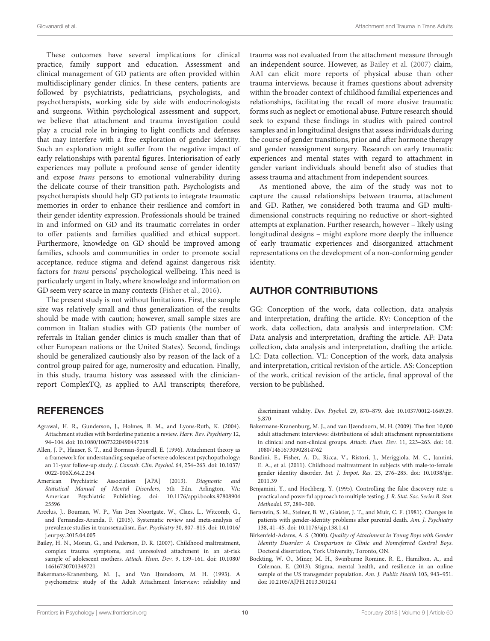These outcomes have several implications for clinical practice, family support and education. Assessment and clinical management of GD patients are often provided within multidisciplinary gender clinics. In these centers, patients are followed by psychiatrists, pediatricians, psychologists, and psychotherapists, working side by side with endocrinologists and surgeons. Within psychological assessment and support, we believe that attachment and trauma investigation could play a crucial role in bringing to light conflicts and defenses that may interfere with a free exploration of gender identity. Such an exploration might suffer from the negative impact of early relationships with parental figures. Interiorisation of early experiences may pollute a profound sense of gender identity and expose trans persons to emotional vulnerability during the delicate course of their transition path. Psychologists and psychotherapists should help GD patients to integrate traumatic memories in order to enhance their resilience and comfort in their gender identity expression. Professionals should be trained in and informed on GD and its traumatic correlates in order to offer patients and families qualified and ethical support. Furthermore, knowledge on GD should be improved among families, schools and communities in order to promote social acceptance, reduce stigma and defend against dangerous risk factors for trans persons' psychological wellbeing. This need is particularly urgent in Italy, where knowledge and information on GD seem very scarce in many contexts [\(Fisher et al.,](#page-10-40) [2016\)](#page-10-40).

The present study is not without limitations. First, the sample size was relatively small and thus generalization of the results should be made with caution; however, small sample sizes are common in Italian studies with GD patients (the number of referrals in Italian gender clinics is much smaller than that of other European nations or the United States). Second, findings should be generalized cautiously also by reason of the lack of a control group paired for age, numerosity and education. Finally, in this study, trauma history was assessed with the clinicianreport ComplexTQ, as applied to AAI transcripts; therefore,

# **REFERENCES**

- <span id="page-9-11"></span>Agrawal, H. R., Gunderson, J., Holmes, B. M., and Lyons-Ruth, K. (2004). Attachment studies with borderline patients: a review. Harv. Rev. Psychiatry 12, 94–104. [doi: 10.1080/10673220490447218](https://doi.org/10.1080/10673220490447218)
- <span id="page-9-10"></span>Allen, J. P., Hauser, S. T., and Borman-Spurrell, E. (1996). Attachment theory as a framework for understanding sequelae of severe adolescent psychopathology: an 11-year follow-up study. J. Consult. Clin. Psychol. 64, 254–263. [doi: 10.1037/](https://doi.org/10.1037/0022-006X.64.2.254) [0022-006X.64.2.254](https://doi.org/10.1037/0022-006X.64.2.254)
- <span id="page-9-0"></span>American Psychiatric Association [APA] (2013). Diagnostic and Statistical Manual of Mental Disorders, 5th Edn. Arlington, VA: American Psychiatric Publishing. [doi: 10.1176/appi.books.97808904](https://doi.org/10.1176/appi.books.9780890425596) [25596](https://doi.org/10.1176/appi.books.9780890425596)
- <span id="page-9-1"></span>Arcelus, J., Bouman, W. P., Van Den Noortgate, W., Claes, L., Witcomb, G., and Fernandez-Aranda, F. (2015). Systematic review and meta-analysis of prevalence studies in transsexualism. Eur. Psychiatry 30, 807–815. [doi: 10.1016/](https://doi.org/10.1016/j.eurpsy.2015.04.005) [j.eurpsy.2015.04.005](https://doi.org/10.1016/j.eurpsy.2015.04.005)
- <span id="page-9-2"></span>Bailey, H. N., Moran, G., and Pederson, D. R. (2007). Childhood maltreatment, complex trauma symptoms, and unresolved attachment in an at-risk sample of adolescent mothers. Attach. Hum. Dev. 9, 139–161. [doi: 10.1080/](https://doi.org/10.1080/14616730701349721) [14616730701349721](https://doi.org/10.1080/14616730701349721)
- <span id="page-9-7"></span>Bakermans-Kranenburg, M. J., and Van IJzendoorn, M. H. (1993). A psychometric study of the Adult Attachment Interview: reliability and

trauma was not evaluated from the attachment measure through an independent source. However, as [Bailey et al.](#page-9-2) [\(2007\)](#page-9-2) claim, AAI can elicit more reports of physical abuse than other trauma interviews, because it frames questions about adversity within the broader context of childhood familial experiences and relationships, facilitating the recall of more elusive traumatic forms such as neglect or emotional abuse. Future research should seek to expand these findings in studies with paired control samples and in longitudinal designs that assess individuals during the course of gender transitions, prior and after hormone therapy and gender reassignment surgery. Research on early traumatic experiences and mental states with regard to attachment in gender variant individuals should benefit also of studies that assess trauma and attachment from independent sources.

As mentioned above, the aim of the study was not to capture the causal relationships between trauma, attachment and GD. Rather, we considered both trauma and GD multidimensional constructs requiring no reductive or short-sighted attempts at explanation. Further research, however – likely using longitudinal designs – might explore more deeply the influence of early traumatic experiences and disorganized attachment representations on the development of a non-conforming gender identity.

# AUTHOR CONTRIBUTIONS

GG: Conception of the work, data collection, data analysis and interpretation, drafting the article. RV: Conception of the work, data collection, data analysis and interpretation. CM: Data analysis and interpretation, drafting the article. AF: Data collection, data analysis and interpretation, drafting the article. LC: Data collection. VL: Conception of the work, data analysis and interpretation, critical revision of the article. AS: Conception of the work, critical revision of the article, final approval of the version to be published.

discriminant validity. Dev. Psychol. 29, 870–879. [doi: 10.1037/0012-1649.29.](https://doi.org/10.1037/0012-1649.29.5.870) [5.870](https://doi.org/10.1037/0012-1649.29.5.870)

- <span id="page-9-8"></span>Bakermans-Kranenburg, M. J., and van IJzendoorn, M. H. (2009). The first 10,000 adult attachment interviews: distributions of adult attachment representations in clinical and non-clinical groups. Attach. Hum. Dev. 11, 223–263. [doi: 10.](https://doi.org/10.1080/14616730902814762) [1080/14616730902814762](https://doi.org/10.1080/14616730902814762)
- <span id="page-9-5"></span>Bandini, E., Fisher, A. D., Ricca, V., Ristori, J., Meriggiola, M. C., Jannini, E. A., et al. (2011). Childhood maltreatment in subjects with male-to-female gender identity disorder. Int. J. Impot. Res. 23, 276–285. [doi: 10.1038/ijir.](https://doi.org/10.1038/ijir.2011.39) [2011.39](https://doi.org/10.1038/ijir.2011.39)
- <span id="page-9-9"></span>Benjamini, Y., and Hochberg, Y. (1995). Controlling the false discovery rate: a practical and powerful approach to multiple testing. J. R. Stat. Soc. Series B. Stat. Methodol. 57, 289–300.
- <span id="page-9-4"></span>Bernstein, S. M., Steiner, B. W., Glaister, J. T., and Muir, C. F. (1981). Changes in patients with gender-identity problems after parental death. Am. J. Psychiatry 138, 41–45. [doi: 10.1176/ajp.138.1.41](https://doi.org/10.1176/ajp.138.1.41)
- <span id="page-9-6"></span>Birkenfeld-Adams, A. S. (2000). Quality of Attachment in Young Boys with Gender Identity Disorder: A Comparison to Clinic and Nonreferred Control Boys. Doctoral dissertation, York University, Toronto, ON.
- <span id="page-9-3"></span>Bockting, W. O., Miner, M. H., Swinburne Romine, R. E., Hamilton, A., and Coleman, E. (2013). Stigma, mental health, and resilience in an online sample of the US transgender population. Am. J. Public Health 103, 943–951. [doi: 10.2105/AJPH.2013.301241](https://doi.org/10.2105/AJPH.2013.301241)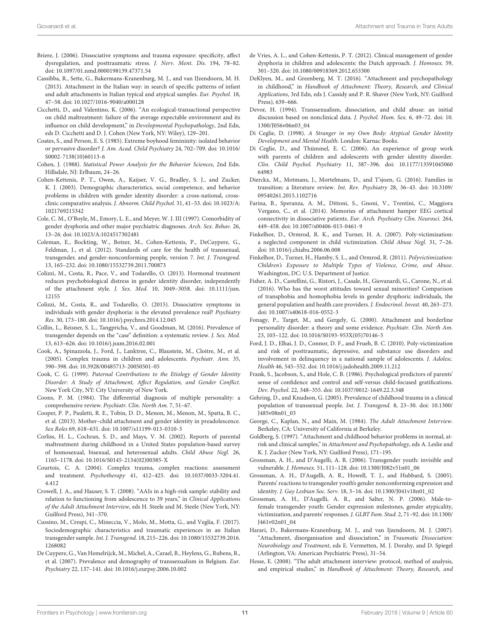- <span id="page-10-13"></span>Briere, J. (2006). Dissociative symptoms and trauma exposure: specificity, affect dysregulation, and posttraumatic stress. J. Nerv. Ment. Dis. 194, 78–82. [doi: 10.1097/01.nmd.0000198139.47371.54](https://doi.org/10.1097/01.nmd.0000198139.47371.54)
- <span id="page-10-32"></span>Cassibba, R., Sette, G., Bakermans-Kranenburg, M. J., and van IJzendoorn, M. H. (2013). Attachment in the Italian way: in search of specific patterns of infant and adult attachments in Italian typical and atypical samples. Eur. Psychol. 18, 47–58. [doi: 10.1027/1016-9040/a000128](https://doi.org/10.1027/1016-9040/a000128)
- <span id="page-10-14"></span>Cicchetti, D., and Valentino, K. (2006). "An ecological-transactional perspective on child maltreatment: failure of the average expectable environment and its influence on child development," in Developmental Psychopathology, 2nd Edn, eds D. Cicchetti and D. J. Cohen (New York, NY: Wiley), 129–201.
- <span id="page-10-7"></span>Coates, S., and Person, E. S. (1985). Extreme boyhood femininity: isolated behavior or pervasive disorder? J. Am. Acad. Child Psychiatry 24, 702–709. [doi: 10.1016/](https://doi.org/10.1016/S0002-7138(10)60113-6) [S0002-7138\(10\)60113-6](https://doi.org/10.1016/S0002-7138(10)60113-6)
- <span id="page-10-34"></span>Cohen, J. (1988). Statistical Power Analysis for the Behavior Sciences, 2nd Edn. Hillsdale, NJ: Erlbaum, 24–26.
- <span id="page-10-5"></span>Cohen-Kettenis, P. T., Owen, A., Kaijser, V. G., Bradley, S. J., and Zucker, K. J. (2003). Demographic characteristics, social competence, and behavior problems in children with gender identity disorder: a cross-national, crossclinic comparative analysis. J. Abnorm. Child Psychol. 31, 41–53. [doi: 10.1023/A:](https://doi.org/10.1023/A:1021769215342) [1021769215342](https://doi.org/10.1023/A:1021769215342)
- <span id="page-10-3"></span>Cole, C. M., O'Boyle, M., Emory, L. E., and Meyer, W. J. III (1997). Comorbidity of gender dysphoria and other major psychiatric diagnoses. Arch. Sex. Behav. 26, 13–26. [doi: 10.1023/A:1024517302481](https://doi.org/10.1023/A:1024517302481)
- <span id="page-10-0"></span>Coleman, E., Bockting, W., Botzer, M., Cohen-Kettenis, P., DeCuypere, G., Feldman, J., et al. (2012). Standards of care for the health of transsexual, transgender, and gender-nonconforming people, version 7. Int. J. Transgend. 13, 165–232. [doi: 10.1080/15532739.2011.700873](https://doi.org/10.1080/15532739.2011.700873)
- <span id="page-10-29"></span>Colizzi, M., Costa, R., Pace, V., and Todarello, O. (2013). Hormonal treatment reduces psychobiological distress in gender identity disorder, independently of the attachment style. J. Sex. Med. 10, 3049–3058. [doi: 10.1111/jsm.](https://doi.org/10.1111/jsm.12155) [12155](https://doi.org/10.1111/jsm.12155)
- <span id="page-10-19"></span>Colizzi, M., Costa, R., and Todarello, O. (2015). Dissociative symptoms in individuals with gender dysphoria: is the elevated prevalence real? Psychiatry Res. 30, 173–180. [doi: 10.1016/j.psychres.2014.12.045](https://doi.org/10.1016/j.psychres.2014.12.045)
- <span id="page-10-2"></span>Collin, L., Reisner, S. L., Tangpricha, V., and Goodman, M. (2016). Prevalence of transgender depends on the "case" definition: a systematic review. J. Sex. Med. 13, 613–626. [doi: 10.1016/j.jsxm.2016.02.001](https://doi.org/10.1016/j.jsxm.2016.02.001)
- <span id="page-10-11"></span>Cook, A., Spinazzola, J., Ford, J., Lanktree, C., Blaustein, M., Cloitre, M., et al. (2005). Complex trauma in children and adolescents. Psychiatr. Ann. 35, 390–398. [doi: 10.3928/00485713-20050501-05](https://doi.org/10.3928/00485713-20050501-05)
- <span id="page-10-28"></span>Cook, C. G. (1999). Paternal Contributions to the Etiology of Gender Identity Disorder: A Study of Attachment, Affect Regulation, and Gender Conflict. New York City, NY: City University of New York.
- <span id="page-10-18"></span>Coons, P. M. (1984). The differential diagnosis of multiple personality: a comprehensive review. Psychiatr. Clin. North Am. 7, 51–67.
- <span id="page-10-26"></span>Cooper, P. P., Pauletti, R. E., Tobin, D. D., Menon, M., Menon, M., Spatta, B. C., et al. (2013). Mother–child attachment and gender identity in preadolescence. Sex Roles 69, 618–631. [doi: 10.1007/s11199-013-0310-3](https://doi.org/10.1007/s11199-013-0310-3)
- <span id="page-10-22"></span>Corliss, H. L., Cochran, S. D., and Mays, V. M. (2002). Reports of parental maltreatment during childhood in a United States population-based survey of homosexual, bisexual, and heterosexual adults. Child Abuse Negl. 26, 1165–1178. [doi: 10.1016/S0145-2134\(02\)00385-X](https://doi.org/10.1016/S0145-2134(02)00385-X)
- <span id="page-10-10"></span>Courtois, C. A. (2004). Complex trauma, complex reactions: assessment and treatment. Psychotherapy 41, 412–425. [doi: 10.1037/0033-3204.41.](https://doi.org/10.1037/0033-3204.41.4.412) [4.412](https://doi.org/10.1037/0033-3204.41.4.412)
- <span id="page-10-37"></span>Crowell, J. A., and Hauser, S. T. (2008). "AAIs in a high-risk sample: stability and relation to functioning from adolescence to 39 years," in Clinical Applications of the Adult Attachment Interview, eds H. Steele and M. Steele (New York, NY: Guilford Press), 341–370.
- <span id="page-10-21"></span>Cussino, M., Crespi, C., Mineccia, V., Molo, M., Motta, G., and Veglia, F. (2017). Sociodemographic characteristics and traumatic experiences in an Italian transgender sample. Int. J. Transgend. 18, 215–226. [doi: 10.1080/15532739.2016.](https://doi.org/10.1080/15532739.2016.1268082) [1268082](https://doi.org/10.1080/15532739.2016.1268082)
- <span id="page-10-1"></span>De Cuypere, G., Van Hemelrijck, M., Michel, A., Carael, B., Heylens, G., Rubens, R., et al. (2007). Prevalence and demography of transsexualism in Belgium. Eur. Psychiatry 22, 137–141. [doi: 10.1016/j.eurpsy.2006.10.002](https://doi.org/10.1016/j.eurpsy.2006.10.002)
- <span id="page-10-4"></span>de Vries, A. L., and Cohen-Kettenis, P. T. (2012). Clinical management of gender dysphoria in children and adolescents: the Dutch approach. J. Homosex. 59, 301–320. [doi: 10.1080/00918369.2012.653300](https://doi.org/10.1080/00918369.2012.653300)
- <span id="page-10-27"></span>DeKlyen, M., and Greenberg, M. T. (2016). "Attachment and psychopathology in childhood," in Handbook of Attachment: Theory, Research, and Clinical Applications, 3rd Edn, eds J. Cassidy and P. R. Shaver (New York, NY: Guilford Press), 639–666.
- <span id="page-10-16"></span>Devor, H. (1994). Transsexualism, dissociation, and child abuse: an initial discussion based on nonclinical data. J. Psychol. Hum. Sex. 6, 49–72. [doi: 10.](https://doi.org/10.1300/J056v06n03_04) [1300/J056v06n03\\_04](https://doi.org/10.1300/J056v06n03_04)
- <span id="page-10-17"></span>Di Ceglie, D. (1998). A Stranger in my Own Body: Atypical Gender Identity Development and Mental Health. London: Karnac Books.
- <span id="page-10-9"></span>Di Ceglie, D., and Thümmel, E. C. (2006). An experience of group work with parents of children and adolescents with gender identity disorder. Clin. Child Psychol. Psychiatry 11, 387–396. [doi: 10.1177/13591045060](https://doi.org/10.1177/1359104506064983) [64983](https://doi.org/10.1177/1359104506064983)
- <span id="page-10-8"></span>Dierckx, M., Motmans, J., Mortelmans, D., and T'sjoen, G. (2016). Families in transition: a literature review. Int. Rev. Psychiatry 28, 36–43. [doi: 10.3109/](https://doi.org/10.3109/09540261.2015.1102716) [09540261.2015.1102716](https://doi.org/10.3109/09540261.2015.1102716)
- <span id="page-10-36"></span>Farina, B., Speranza, A. M., Dittoni, S., Gnoni, V., Trentini, C., Maggiora Vergano, C., et al. (2014). Memories of attachment hamper EEG cortical connectivity in dissociative patients. Eur. Arch. Psychiatry Clin. Neurosci. 264, 449–458. [doi: 10.1007/s00406-013-0461-9](https://doi.org/10.1007/s00406-013-0461-9)
- <span id="page-10-33"></span>Finkelhor, D., Ormrod, R. K., and Turner, H. A. (2007). Poly-victimization: a neglected component in child victimization. Child Abuse Negl. 31, 7–26. [doi: 10.1016/j.chiabu.2006.06.008](https://doi.org/10.1016/j.chiabu.2006.06.008)
- <span id="page-10-38"></span>Finkelhor, D., Turner, H., Hamby, S. L., and Ormrod, R. (2011). Polyvictimization: Children's Exposure to Multiple Types of Violence, Crime, and Abuse. Washington, DC: U.S. Department of Justice.
- <span id="page-10-40"></span>Fisher, A. D., Castellini, G., Ristori, J., Casale, H., Giovanardi, G., Carone, N., et al. (2016). Who has the worst attitudes toward sexual minorities? Comparison of transphobia and homophobia levels in gender dysphoric individuals, the general population and health care providers. J. Endocrinol. Invest. 40, 263–273. [doi: 10.1007/s40618-016-0552-3](https://doi.org/10.1007/s40618-016-0552-3)
- <span id="page-10-15"></span>Fonagy, P., Target, M., and Gergely, G. (2000). Attachment and borderline personality disorder: a theory and some evidence. Psychiatr. Clin. North Am. 23, 103–122. [doi: 10.1016/S0193-953X\(05\)70146-5](https://doi.org/10.1016/S0193-953X(05)70146-5)
- <span id="page-10-12"></span>Ford, J. D., Elhai, J. D., Connor, D. F., and Frueh, B. C. (2010). Poly-victimization and risk of posttraumatic, depressive, and substance use disorders and involvement in delinquency in a national sample of adolescents. J. Adolesc. Health 46, 545–552. [doi: 10.1016/j.jadohealth.2009.11.212](https://doi.org/10.1016/j.jadohealth.2009.11.212)
- <span id="page-10-39"></span>Frank, S., Jacobson, S., and Hole, C. B. (1986). Psychological predictors of parents' sense of confidence and control and self-versus child-focused gratifications. Dev. Psychol. 22, 348–355. [doi: 10.1037/0012-1649.22.3.348](https://doi.org/10.1037/0012-1649.22.3.348)
- <span id="page-10-20"></span>Gehring, D., and Knudson, G. (2005). Prevalence of childhood trauma in a clinical population of transsexual people. Int. J. Transgend. 8, 23–30. [doi: 10.1300/](https://doi.org/10.1300/J485v08n01_03) [J485v08n01\\_03](https://doi.org/10.1300/J485v08n01_03)
- <span id="page-10-30"></span>George, C., Kaplan, N., and Main, M. (1984). The Adult Attachment Interview. Berkeley, CA: University of California at Berkeley.
- <span id="page-10-25"></span>Goldberg, S. (1997). "Attachment and childhood behavior problems in normal, atrisk and clinical samples," in Attachment and Psychopathology, eds A. Leslie and K. J. Zucker (New York, NY: Guilford Press), 171–195.
- <span id="page-10-6"></span>Grossman, A. H., and D'Augelli, A. R. (2006). Transgender youth: invisible and vulnerable. J. Homosex. 51, 111–128. [doi: 10.1300/J082v51n01\\_06](https://doi.org/10.1300/J082v51n01_06)
- <span id="page-10-23"></span>Grossman, A. H., D'Augelli, A. R., Howell, T. J., and Hubbard, S. (2005). Parents' reactions to transgender youth's gender nonconforming expression and identity. J. Gay Lesbian Soc. Serv. 18, 3–16. [doi: 10.1300/J041v18n01\\_02](https://doi.org/10.1300/J041v18n01_02)
- <span id="page-10-24"></span>Grossman, A. H., D'Augelli, A. R., and Salter, N. P. (2006). Male-tofemale transgender youth: Gender expression milestones, gender atypicality, victimization, and parents' responses. J. GLBT Fam. Stud. 2, 71–92. [doi: 10.1300/](https://doi.org/10.1300/J461v02n01_04) [J461v02n01\\_04](https://doi.org/10.1300/J461v02n01_04)
- <span id="page-10-35"></span>Harari, D., Bakermans-Kranenburg, M. J., and van Ijzendoorn, M. J. (2007). "Attachment, disorganisation and dissociation," in Traumatic Dissociation: Neurobiology and Treatment, eds E. Vermetten, M. J. Dorahy, and D. Spiegel (Arlington, VA: American Psychiatric Press), 31–54.
- <span id="page-10-31"></span>Hesse, E. (2008). "The adult attachment interview: protocol, method of analysis, and empirical studies," in Handbook of Attachment: Theory, Research, and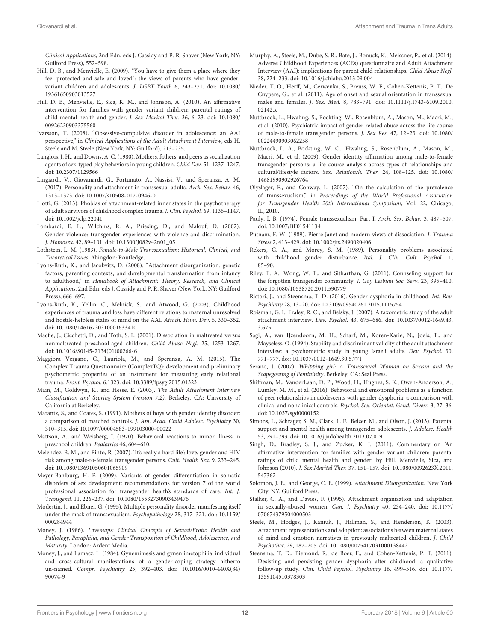Clinical Applications, 2nd Edn, eds J. Cassidy and P. R. Shaver (New York, NY: Guilford Press), 552–598.

- <span id="page-11-5"></span>Hill, D. B., and Menvielle, E. (2009). "You have to give them a place where they feel protected and safe and loved": the views of parents who have gendervariant children and adolescents. J. LGBT Youth 6, 243–271. [doi: 10.1080/](https://doi.org/10.1080/19361650903013527) [19361650903013527](https://doi.org/10.1080/19361650903013527)
- <span id="page-11-11"></span>Hill, D. B., Menvielle, E., Sica, K. M., and Johnson, A. (2010). An affirmative intervention for families with gender variant children: parental ratings of child mental health and gender. J. Sex Marital Ther. 36, 6–23. [doi: 10.1080/](https://doi.org/10.1080/00926230903375560) [00926230903375560](https://doi.org/10.1080/00926230903375560)
- <span id="page-11-35"></span>Ivarsson, T. (2008). "Obsessive-compulsive disorder in adolescence: an AAI perspective," in Clinical Applications of the Adult Attachment Interview, eds H. Steele and M. Steele (New York, NY: Guilford), 213–235.
- <span id="page-11-39"></span>Langlois, J. H., and Downs, A. C. (1980). Mothers, fathers, and peers as socialization agents of sex-typed play behaviors in young children. Child Dev. 51, 1237–1247. [doi: 10.2307/1129566](https://doi.org/10.2307/1129566)
- <span id="page-11-26"></span>Lingiardi, V., Giovanardi, G., Fortunato, A., Nassisi, V., and Speranza, A. M. (2017). Personality and attachment in transsexual adults. Arch. Sex. Behav. 46, 1313–1323. [doi: 10.1007/s10508-017-0946-0](https://doi.org/10.1007/s10508-017-0946-0)
- <span id="page-11-14"></span>Liotti, G. (2013). Phobias of attachment-related inner states in the psychotherapy of adult survivors of childhood complex trauma. J. Clin. Psychol. 69, 1136–1147. [doi: 10.1002/jclp.22041](https://doi.org/10.1002/jclp.22041)
- <span id="page-11-22"></span>Lombardi, E. L., Wilchins, R. A., Priesing, D., and Malouf, D. (2002). Gender violence: transgender experiences with violence and discrimination. J. Homosex. 42, 89–101. [doi: 10.1300/J082v42n01\\_05](https://doi.org/10.1300/J082v42n01_05)
- <span id="page-11-25"></span>Lothstein, L. M. (1983). Female-to-Male Transsexualism: Historical, Clinical, and Theoretical Issues. Abingdon: Routledge.
- <span id="page-11-13"></span>Lyons-Ruth, K., and Jacobvitz, D. (2008). "Attachment disorganization: genetic factors, parenting contexts, and developmental transformation from infancy to adulthood," in Handbook of Attachment: Theory, Research, and Clinical Applications, 2nd Edn, eds J. Cassidy and P. R. Shaver (New York, NY: Guilford Press), 666–697.
- <span id="page-11-37"></span>Lyons-Ruth, K., Yellin, C., Melnick, S., and Atwood, G. (2003). Childhood experiences of trauma and loss have different relations to maternal unresolved and hostile-helpless states of mind on the AAI. Attach. Hum. Dev. 5, 330–352. [doi: 10.1080/14616730310001633410](https://doi.org/10.1080/14616730310001633410)
- <span id="page-11-16"></span>Macfie, J., Cicchetti, D., and Toth, S. L. (2001). Dissociation in maltreated versus nonmaltreated preschool-aged children. Child Abuse Negl. 25, 1253–1267. [doi: 10.1016/S0145-2134\(01\)00266-6](https://doi.org/10.1016/S0145-2134(01)00266-6)
- <span id="page-11-32"></span>Maggiora Vergano, C., Lauriola, M., and Speranza, A. M. (2015). The Complex Trauma Questionnaire (ComplexTQ): development and preliminary psychometric properties of an instrument for measuring early relational trauma. Front. Psychol. 6:1323. [doi: 10.3389/fpsyg.2015.01323](https://doi.org/10.3389/fpsyg.2015.01323)
- <span id="page-11-29"></span>Main, M., Goldwyn, R., and Hesse, E. (2003). The Adult Attachment Interview Classification and Scoring System (version 7.2). Berkeley, CA: University of California at Berkeley.
- <span id="page-11-19"></span>Marantz, S., and Coates, S. (1991). Mothers of boys with gender identity disorder: a comparison of matched controls. J. Am. Acad. Child Adolesc. Psychiatry 30, 310–315. [doi: 10.1097/00004583-199103000-00022](https://doi.org/10.1097/00004583-199103000-00022)
- <span id="page-11-38"></span>Mattson, A., and Weisberg, I. (1970). Behavioral reactions to minor illness in preschool children. Pediatrics 46, 604–610.
- <span id="page-11-23"></span>Melendez, R. M., and Pinto, R. (2007). 'It's really a hard life': love, gender and HIV risk among male-to-female transgender persons. Cult. Health Sex. 9, 233–245. [doi: 10.1080/13691050601065909](https://doi.org/10.1080/13691050601065909)
- <span id="page-11-1"></span>Meyer-Bahlburg, H. F. (2009). Variants of gender differentiation in somatic disorders of sex development: recommendations for version 7 of the world professional association for transgender health's standards of care. Int. J. Transgend. 11, 226–237. [doi: 10.1080/15532730903439476](https://doi.org/10.1080/15532730903439476)
- <span id="page-11-21"></span>Modestin, J., and Ebner, G. (1995). Multiple personality disorder manifesting itself under the mask of transsexualism. Psychopathology 28, 317–321. [doi: 10.1159/](https://doi.org/10.1159/000284944) [000284944](https://doi.org/10.1159/000284944)
- <span id="page-11-18"></span>Money, J. (1986). Lovemaps: Clinical Concepts of Sexual/Erotic Health and Pathology, Paraphilia, and Gender Transposition of Childhood, Adolescence, and Maturity. London: Ardent Media.
- <span id="page-11-17"></span>Money, J., and Lamacz, L. (1984). Gynemimesis and gyneniimetophilia: individual and cross-cultural manifestations of a gender-coping strategy hitherto un-named. Compr. Psychiatry 25, 392–403. [doi: 10.1016/0010-440X\(84\)](https://doi.org/10.1016/0010-440X(84)90074-9) [90074-9](https://doi.org/10.1016/0010-440X(84)90074-9)
- <span id="page-11-33"></span>Murphy, A., Steele, M., Dube, S. R., Bate, J., Bonuck, K., Meissner, P., et al. (2014). Adverse Childhood Experiences (ACEs) questionnaire and Adult Attachment Interview (AAI): implications for parent child relationships. Child Abuse Negl. 38, 224–233. [doi: 10.1016/j.chiabu.2013.09.004](https://doi.org/10.1016/j.chiabu.2013.09.004)
- <span id="page-11-3"></span>Nieder, T. O., Herff, M., Cerwenka, S., Preuss, W. F., Cohen-Kettenis, P. T., De Cuypere, G., et al. (2011). Age of onset and sexual orientation in transsexual males and females. J. Sex. Med. 8, 783–791. [doi: 10.1111/j.1743-6109.2010.](https://doi.org/10.1111/j.1743-6109.2010.02142.x) [02142.x](https://doi.org/10.1111/j.1743-6109.2010.02142.x)
- <span id="page-11-27"></span>Nuttbrock, L., Hwahng, S., Bockting, W., Rosenblum, A., Mason, M., Macri, M., et al. (2010). Psychiatric impact of gender-related abuse across the life course of male-to-female transgender persons. J. Sex Res. 47, 12–23. [doi: 10.1080/](https://doi.org/10.1080/00224490903062258) [00224490903062258](https://doi.org/10.1080/00224490903062258)
- <span id="page-11-28"></span>Nuttbrock, L. A., Bockting, W. O., Hwahng, S., Rosenblum, A., Mason, M., Macri, M., et al. (2009). Gender identity affirmation among male-to-female transgender persons: a life course analysis across types of relationships and cultural/lifestyle factors. Sex. Relationsh. Ther. 24, 108–125. [doi: 10.1080/](https://doi.org/10.1080/14681990902926764) [14681990902926764](https://doi.org/10.1080/14681990902926764)
- <span id="page-11-0"></span>Olyslager, F., and Conway, L. (2007). "On the calculation of the prevalence of transsexualism," in Proceedings of the World Professional Association for Transgender Health 20th International Symposium, Vol. 22, Chicago, IL, 2010.
- <span id="page-11-24"></span>Pauly, I. B. (1974). Female transsexualism: Part I. Arch. Sex. Behav. 3, 487–507. [doi: 10.1007/BF01541134](https://doi.org/10.1007/BF01541134)
- <span id="page-11-20"></span>Putnam, F. W. (1989). Pierre Janet and modern views of dissociation. J. Trauma Stress 2, 413–429. [doi: 10.1002/jts.2490020406](https://doi.org/10.1002/jts.2490020406)
- <span id="page-11-7"></span>Rekers, G. A., and Morey, S. M. (1989). Personality problems associated with childhood gender disturbance. Ital. J. Clin. Cult. Psychol. 1, 85–90.
- <span id="page-11-12"></span>Riley, E. A., Wong, W. T., and Sitharthan, G. (2011). Counseling support for the forgotten transgender community. J. Gay Lesbian Soc. Serv. 23, 395–410. [doi: 10.1080/10538720.2011.590779](https://doi.org/10.1080/10538720.2011.590779)
- <span id="page-11-8"></span>Ristori, J., and Steensma, T. D. (2016). Gender dysphoria in childhood. Int. Rev. Psychiatry 28, 13–20. [doi: 10.3109/09540261.2015.1115754](https://doi.org/10.3109/09540261.2015.1115754)
- <span id="page-11-31"></span>Roisman, G. I., Fraley, R. C., and Belsky, J. (2007). A taxometric study of the adult attachment interview. Dev. Psychol. 43, 675–686. [doi: 10.1037/0012-1649.43.](https://doi.org/10.1037/0012-1649.43.3.675) [3.675](https://doi.org/10.1037/0012-1649.43.3.675)
- <span id="page-11-30"></span>Sagi, A., van IJzendoorn, M. H., Scharf, M., Koren-Karie, N., Joels, T., and Mayseless, O. (1994). Stability and discriminant validity of the adult attachment interview: a psychometric study in young Israeli adults. Dev. Psychol. 30, 771–777. [doi: 10.1037/0012-1649.30.5.771](https://doi.org/10.1037/0012-1649.30.5.771)
- <span id="page-11-2"></span>Serano, J. (2007). Whipping girl: A Transsexual Woman on Sexism and the Scapegoating of Femininity. Berkeley, CA: Seal Press.
- <span id="page-11-10"></span>Shiffman, M., VanderLaan, D. P., Wood, H., Hughes, S. K., Owen-Anderson, A., Lumley, M. M., et al. (2016). Behavioral and emotional problems as a function of peer relationships in adolescents with gender dysphoria: a comparison with clinical and nonclinical controls. Psychol. Sex. Orientat. Gend. Divers. 3, 27–36. [doi: 10.1037/sgd0000152](https://doi.org/10.1037/sgd0000152)
- <span id="page-11-9"></span>Simons, L., Schrager, S. M., Clark, L. F., Belzer, M., and Olson, J. (2013). Parental support and mental health among transgender adolescents. J. Adolesc. Health 53, 791–793. [doi: 10.1016/j.jadohealth.2013.07.019](https://doi.org/10.1016/j.jadohealth.2013.07.019)
- <span id="page-11-6"></span>Singh, D., Bradley, S. J., and Zucker, K. J. (2011). Commentary on 'An affirmative intervention for families with gender variant children: parental ratings of child mental health and gender' by Hill. Menvielle, Sica, and Johnson (2010). J. Sex Marital Ther. 37, 151–157. [doi: 10.1080/0092623X.2011.](https://doi.org/10.1080/0092623X.2011.547362) [547362](https://doi.org/10.1080/0092623X.2011.547362)
- <span id="page-11-15"></span>Solomon, J. E., and George, C. E. (1999). Attachment Disorganization. New York City, NY: Guilford Press.
- <span id="page-11-36"></span>Stalker, C. A., and Davies, F. (1995). Attachment organization and adaptation in sexually-abused women. Can. J. Psychiatry 40, 234–240. [doi: 10.1177/](https://doi.org/10.1177/070674379504000503) [070674379504000503](https://doi.org/10.1177/070674379504000503)
- <span id="page-11-34"></span>Steele, M., Hodges, J., Kaniuk, J., Hillman, S., and Henderson, K. (2003). Attachment representations and adoption: associations between maternal states of mind and emotion narratives in previously maltreated children. J. Child Psychother. 29, 187–205. [doi: 10.1080/0075417031000138442](https://doi.org/10.1080/0075417031000138442)
- <span id="page-11-4"></span>Steensma, T. D., Biemond, R., de Boer, F., and Cohen-Kettenis, P. T. (2011). Desisting and persisting gender dysphoria after childhood: a qualitative follow-up study. Clin. Child Psychol. Psychiatry 16, 499–516. [doi: 10.1177/](https://doi.org/10.1177/1359104510378303) [1359104510378303](https://doi.org/10.1177/1359104510378303)